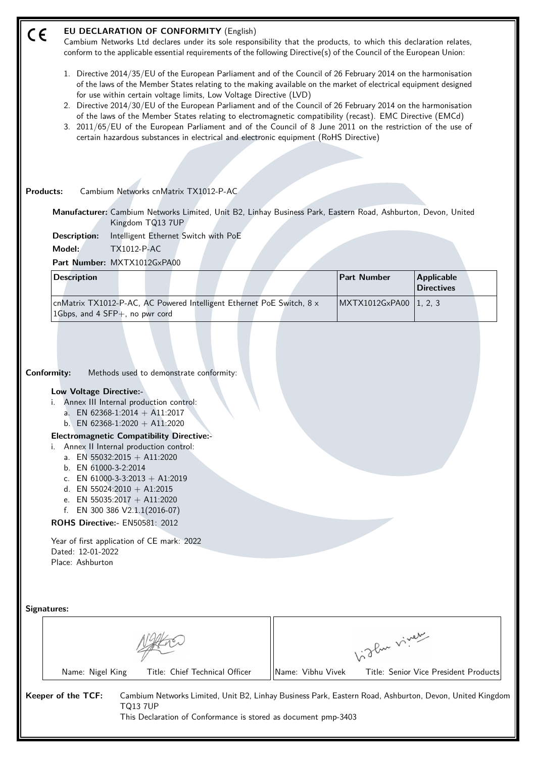#### **EU DECLARATION OF CONFORMITY** (English)  $\epsilon$

Cambium Networks Ltd declares under its sole responsibility that the products, to which this declaration relates, conform to the applicable essential requirements of the following Directive(s) of the Council of the European Union:

- 1. Directive 2014/35/EU of the European Parliament and of the Council of 26 February 2014 on the harmonisation of the laws of the Member States relating to the making available on the market of electrical equipment designed for use within certain voltage limits, Low Voltage Directive (LVD)
- 2. Directive 2014/30/EU of the European Parliament and of the Council of 26 February 2014 on the harmonisation of the laws of the Member States relating to electromagnetic compatibility (recast). EMC Directive (EMCd)
- 3. 2011/65/EU of the European Parliament and of the Council of 8 June 2011 on the restriction of the use of certain hazardous substances in electrical and electronic equipment (RoHS Directive)

#### **Products:** Cambium Networks cnMatrix TX1012-P-AC

**Manufacturer:** Cambium Networks Limited, Unit B2, Linhay Business Park, Eastern Road, Ashburton, Devon, United Kingdom TQ13 7UP

**Description:** Intelligent Ethernet Switch with PoE

**Model:** TX1012-P-AC

**Part Number:** MXTX1012GxPA00

| <b>Description</b>                                                           |  |  |  | <b>Part Number</b>       | <b>Applicable</b><br>Directives |  |
|------------------------------------------------------------------------------|--|--|--|--------------------------|---------------------------------|--|
| cnMatrix TX1012-P-AC, AC Powered Intelligent Ethernet PoE Switch, $8 \times$ |  |  |  | MXTX1012GxPA00   1, 2, 3 |                                 |  |
| 1Gbps, and 4 $SFP+$ , no pwr cord                                            |  |  |  |                          |                                 |  |

**Conformity:** Methods used to demonstrate conformity:

#### **Low Voltage Directive:-**

- i. Annex III Internal production control:
	- a. EN 62368-1:2014 + A11:2017
	- b. EN 62368-1:2020 + A11:2020

## **Electromagnetic Compatibility Directive:-**

- i. Annex II Internal production control:
	- a. EN 55032:2015 + A11:2020
	- b. EN 61000-3-2:2014
	- c. EN  $61000 3 3:2013 + A1:2019$
	- d. EN 55024:2010 + A1:2015
	- e. EN 55035:2017 + A11:2020
	- f. EN 300 386 V2.1.1(2016-07)

### **ROHS Directive:-** EN50581: 2012

Year of first application of CE mark: 2022 Dated: 12-01-2022 Place: Ashburton

| Signatures: |
|-------------|
|-------------|

|                    |                                |                   | 1. Jlun viner                                                                                           |  |  |  |  |
|--------------------|--------------------------------|-------------------|---------------------------------------------------------------------------------------------------------|--|--|--|--|
| Name: Nigel King   | Title: Chief Technical Officer | Name: Vibhu Vivek | Title: Senior Vice President Products                                                                   |  |  |  |  |
| Keeper of the TCF: |                                |                   | Cambium Networks Limited, Unit B2, Linhay Business Park, Eastern Road, Ashburton, Devon, United Kingdom |  |  |  |  |

TQ13 7UP This Declaration of Conformance is stored as document pmp-3403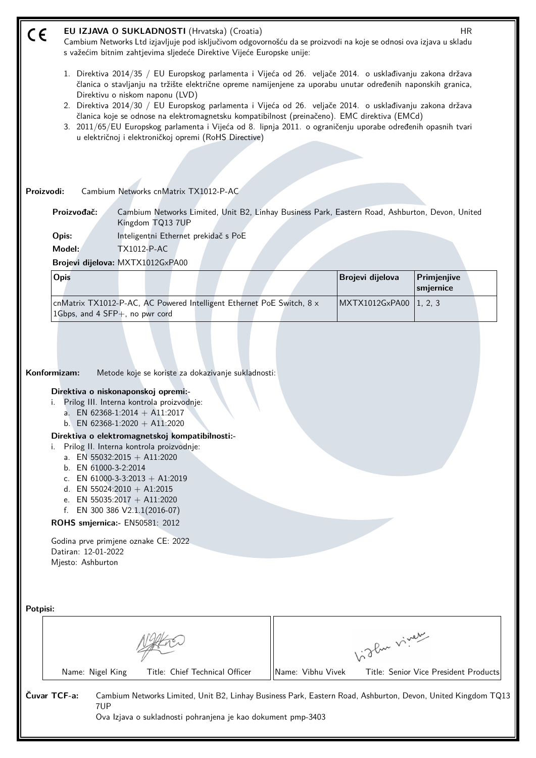| CE       |                                                                                                                                                                                                                                                                                                                                                                                                                                                                                                                                                                                                                                                    | EU IZJAVA O SUKLADNOSTI (Hrvatska) (Croatia)<br>Cambium Networks Ltd izjavljuje pod isključivom odgovornošću da se proizvodi na koje se odnosi ova izjava u skladu<br>s važećim bitnim zahtjevima sljedeće Direktive Vijeće Europske unije:                                                                                                                                                                                                                                                                                                      |                   |                  | HR                                    |  |  |  |  |
|----------|----------------------------------------------------------------------------------------------------------------------------------------------------------------------------------------------------------------------------------------------------------------------------------------------------------------------------------------------------------------------------------------------------------------------------------------------------------------------------------------------------------------------------------------------------------------------------------------------------------------------------------------------------|--------------------------------------------------------------------------------------------------------------------------------------------------------------------------------------------------------------------------------------------------------------------------------------------------------------------------------------------------------------------------------------------------------------------------------------------------------------------------------------------------------------------------------------------------|-------------------|------------------|---------------------------------------|--|--|--|--|
|          | 1. Direktiva 2014/35 / EU Europskog parlamenta i Vijeća od 26. veljače 2014. o usklađivanju zakona država<br>članica o stavljanju na tržište električne opreme namijenjene za uporabu unutar određenih naponskih granica,<br>Direktivu o niskom naponu (LVD)<br>2. Direktiva 2014/30 / EU Europskog parlamenta i Vijeća od 26. veljače 2014. o usklađivanju zakona država<br>članica koje se odnose na elektromagnetsku kompatibilnost (preinačeno). EMC direktiva (EMCd)<br>3. 2011/65/EU Europskog parlamenta i Vijeća od 8. lipnja 2011. o ograničenju uporabe određenih opasnih tvari<br>u električnoj i elektroničkoj opremi (RoHS Directive) |                                                                                                                                                                                                                                                                                                                                                                                                                                                                                                                                                  |                   |                  |                                       |  |  |  |  |
|          |                                                                                                                                                                                                                                                                                                                                                                                                                                                                                                                                                                                                                                                    |                                                                                                                                                                                                                                                                                                                                                                                                                                                                                                                                                  |                   |                  |                                       |  |  |  |  |
|          | Proizvodi:                                                                                                                                                                                                                                                                                                                                                                                                                                                                                                                                                                                                                                         | Cambium Networks cnMatrix TX1012-P-AC                                                                                                                                                                                                                                                                                                                                                                                                                                                                                                            |                   |                  |                                       |  |  |  |  |
|          | Proizvođač:                                                                                                                                                                                                                                                                                                                                                                                                                                                                                                                                                                                                                                        | Cambium Networks Limited, Unit B2, Linhay Business Park, Eastern Road, Ashburton, Devon, United<br>Kingdom TQ13 7UP                                                                                                                                                                                                                                                                                                                                                                                                                              |                   |                  |                                       |  |  |  |  |
|          | Opis:<br>Model:                                                                                                                                                                                                                                                                                                                                                                                                                                                                                                                                                                                                                                    | Inteligentni Ethernet prekidač s PoE<br><b>TX1012-P-AC</b>                                                                                                                                                                                                                                                                                                                                                                                                                                                                                       |                   |                  |                                       |  |  |  |  |
|          |                                                                                                                                                                                                                                                                                                                                                                                                                                                                                                                                                                                                                                                    | Brojevi dijelova: MXTX1012GxPA00                                                                                                                                                                                                                                                                                                                                                                                                                                                                                                                 |                   |                  |                                       |  |  |  |  |
|          | Opis                                                                                                                                                                                                                                                                                                                                                                                                                                                                                                                                                                                                                                               |                                                                                                                                                                                                                                                                                                                                                                                                                                                                                                                                                  |                   | Brojevi dijelova | Primjenjive<br>smjernice              |  |  |  |  |
|          | 1Gbps, and 4 SFP+, no pwr cord                                                                                                                                                                                                                                                                                                                                                                                                                                                                                                                                                                                                                     | cnMatrix TX1012-P-AC, AC Powered Intelligent Ethernet PoE Switch, 8 x                                                                                                                                                                                                                                                                                                                                                                                                                                                                            |                   | MXTX1012GxPA00   | 1, 2, 3                               |  |  |  |  |
|          | Konformizam:<br>b. EN 61000-3-2:2014<br>Datiran: 12-01-2022<br>Mjesto: Ashburton                                                                                                                                                                                                                                                                                                                                                                                                                                                                                                                                                                   | Metode koje se koriste za dokazivanje sukladnosti:<br>Direktiva o niskonaponskoj opremi:-<br>Prilog III. Interna kontrola proizvodnje:<br>a. EN 62368-1:2014 + A11:2017<br>b. EN 62368-1:2020 + A11:2020<br>Direktiva o elektromagnetskoj kompatibilnosti:-<br>Prilog II. Interna kontrola proizvodnje:<br>a. EN 55032:2015 + A11:2020<br>c. EN 61000-3-3:2013 + A1:2019<br>d. EN 55024:2010 + A1:2015<br>e. EN 55035:2017 + A11:2020<br>f. EN 300 386 V2.1.1(2016-07)<br>ROHS smjernica:- EN50581: 2012<br>Godina prve primjene oznake CE: 2022 |                   |                  |                                       |  |  |  |  |
| Potpisi: |                                                                                                                                                                                                                                                                                                                                                                                                                                                                                                                                                                                                                                                    |                                                                                                                                                                                                                                                                                                                                                                                                                                                                                                                                                  |                   | higher viney     |                                       |  |  |  |  |
|          | Name: Nigel King                                                                                                                                                                                                                                                                                                                                                                                                                                                                                                                                                                                                                                   | Title: Chief Technical Officer                                                                                                                                                                                                                                                                                                                                                                                                                                                                                                                   | Name: Vibhu Vivek |                  | Title: Senior Vice President Products |  |  |  |  |
|          | Čuvar TCF-a:<br>7UP                                                                                                                                                                                                                                                                                                                                                                                                                                                                                                                                                                                                                                | Cambium Networks Limited, Unit B2, Linhay Business Park, Eastern Road, Ashburton, Devon, United Kingdom TQ13<br>Ova Izjava o sukladnosti pohranjena je kao dokument pmp-3403                                                                                                                                                                                                                                                                                                                                                                     |                   |                  |                                       |  |  |  |  |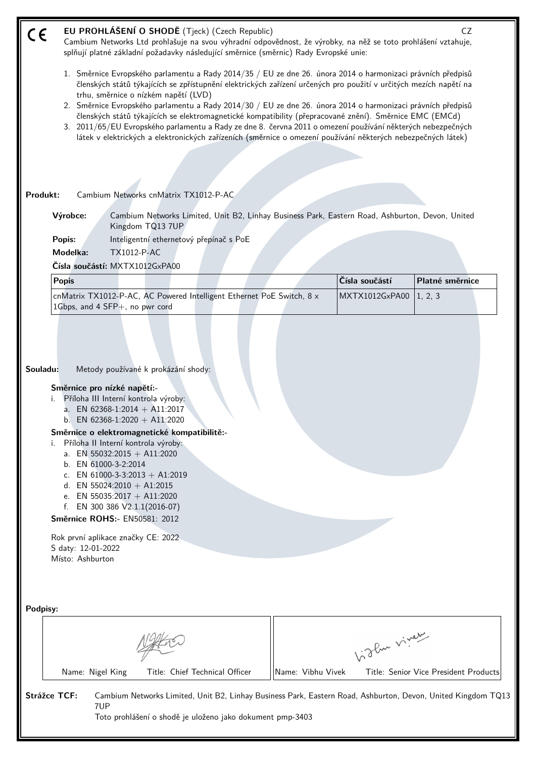| CE       | EU PROHLÁŠENÍ O SHODĚ (Tjeck) (Czech Republic)<br>Cambium Networks Ltd prohlašuje na svou výhradní odpovědnost, že výrobky, na něž se toto prohlášení vztahuje,<br>splňují platné základní požadavky následující směrnice (směrnic) Rady Evropské unie:                                                                                                                                                                                                                                                                                                                                                                                                                                                                           |                   |                | CZ                                    |
|----------|-----------------------------------------------------------------------------------------------------------------------------------------------------------------------------------------------------------------------------------------------------------------------------------------------------------------------------------------------------------------------------------------------------------------------------------------------------------------------------------------------------------------------------------------------------------------------------------------------------------------------------------------------------------------------------------------------------------------------------------|-------------------|----------------|---------------------------------------|
|          | 1. Směrnice Evropského parlamentu a Rady 2014/35 / EU ze dne 26. února 2014 o harmonizaci právních předpisů<br>členských států týkajících se zpřístupnění elektrických zařízení určených pro použití v určitých mezích napětí na<br>trhu, směrnice o nízkém napětí (LVD)<br>2. Směrnice Evropského parlamentu a Rady 2014/30 / EU ze dne 26. února 2014 o harmonizaci právních předpisů<br>členských států týkajících se elektromagnetické kompatibility (přepracované znění). Směrnice EMC (EMCd)<br>3. 2011/65/EU Evropského parlamentu a Rady ze dne 8. června 2011 o omezení používání některých nebezpečných<br>látek v elektrických a elektronických zařízeních (směrnice o omezení používání některých nebezpečných látek) |                   |                |                                       |
|          |                                                                                                                                                                                                                                                                                                                                                                                                                                                                                                                                                                                                                                                                                                                                   |                   |                |                                       |
| Produkt: | Cambium Networks cnMatrix TX1012-P-AC                                                                                                                                                                                                                                                                                                                                                                                                                                                                                                                                                                                                                                                                                             |                   |                |                                       |
|          |                                                                                                                                                                                                                                                                                                                                                                                                                                                                                                                                                                                                                                                                                                                                   |                   |                |                                       |
|          | Výrobce:<br>Cambium Networks Limited, Unit B2, Linhay Business Park, Eastern Road, Ashburton, Devon, United<br>Kingdom TQ13 7UP                                                                                                                                                                                                                                                                                                                                                                                                                                                                                                                                                                                                   |                   |                |                                       |
|          | Inteligentní ethernetový přepínač s PoE<br>Popis:                                                                                                                                                                                                                                                                                                                                                                                                                                                                                                                                                                                                                                                                                 |                   |                |                                       |
|          | Modelka:<br><b>TX1012-P-AC</b>                                                                                                                                                                                                                                                                                                                                                                                                                                                                                                                                                                                                                                                                                                    |                   |                |                                       |
|          | Čísla součástí: MXTX1012GxPA00                                                                                                                                                                                                                                                                                                                                                                                                                                                                                                                                                                                                                                                                                                    |                   |                |                                       |
|          | <b>Popis</b>                                                                                                                                                                                                                                                                                                                                                                                                                                                                                                                                                                                                                                                                                                                      |                   | Čísla součástí | Platné směrnice                       |
|          | cnMatrix TX1012-P-AC, AC Powered Intelligent Ethernet PoE Switch, 8 x<br>1Gbps, and 4 SFP+, no pwr cord                                                                                                                                                                                                                                                                                                                                                                                                                                                                                                                                                                                                                           |                   | MXTX1012GxPA00 | 1, 2, 3                               |
| Souladu: | Metody používané k prokázání shody:<br>Směrnice pro nízké napětí:-<br>Příloha III Interní kontrola výroby:<br>a. EN 62368-1:2014 + A11:2017<br>EN 62368-1:2020 + A11:2020<br>b.<br>Směrnice o elektromagnetické kompatibilitě:-<br>Příloha II Interní kontrola výroby:<br>i.<br>a. EN 55032:2015 + A11:2020<br>b. EN 61000-3-2:2014<br>c. EN 61000-3-3:2013 + A1:2019<br>d. EN 55024:2010 + A1:2015<br>e. EN 55035:2017 + A11:2020<br>EN 300 386 V2.1.1(2016-07)<br>f.<br>Směrnice ROHS:- EN50581: 2012<br>Rok první aplikace značky CE: 2022<br>S daty: 12-01-2022<br>Místo: Ashburton                                                                                                                                           |                   |                |                                       |
| Podpisy: |                                                                                                                                                                                                                                                                                                                                                                                                                                                                                                                                                                                                                                                                                                                                   |                   |                |                                       |
|          |                                                                                                                                                                                                                                                                                                                                                                                                                                                                                                                                                                                                                                                                                                                                   |                   | Like viney     |                                       |
|          | Title: Chief Technical Officer<br>Name: Nigel King                                                                                                                                                                                                                                                                                                                                                                                                                                                                                                                                                                                                                                                                                | Name: Vibhu Vivek |                | Title: Senior Vice President Products |
|          | <b>Strážce TCF:</b><br>Cambium Networks Limited, Unit B2, Linhay Business Park, Eastern Road, Ashburton, Devon, United Kingdom TQ13<br>7UP<br>Toto prohlášení o shodě je uloženo jako dokument pmp-3403                                                                                                                                                                                                                                                                                                                                                                                                                                                                                                                           |                   |                |                                       |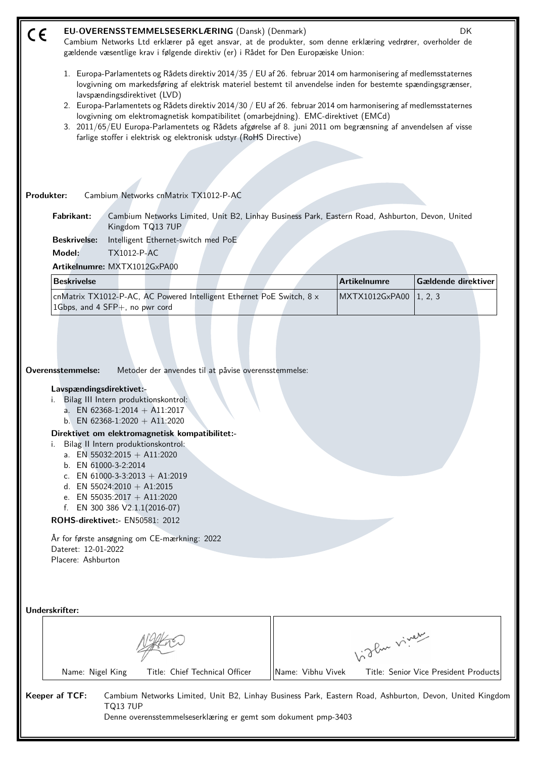| $\epsilon$ | EU-OVERENSSTEMMELSESERKLÆRING (Dansk) (Denmark)<br>DK<br>Cambium Networks Ltd erklærer på eget ansvar, at de produkter, som denne erklæring vedrører, overholder de<br>gældende væsentlige krav i følgende direktiv (er) i Rådet for Den Europæiske Union:                                                                                                                                                                                                                                                                                                                                                                                                       |                   |                     |                                       |  |  |  |  |  |
|------------|------------------------------------------------------------------------------------------------------------------------------------------------------------------------------------------------------------------------------------------------------------------------------------------------------------------------------------------------------------------------------------------------------------------------------------------------------------------------------------------------------------------------------------------------------------------------------------------------------------------------------------------------------------------|-------------------|---------------------|---------------------------------------|--|--|--|--|--|
|            | 1. Europa-Parlamentets og Rådets direktiv 2014/35 / EU af 26. februar 2014 om harmonisering af medlemsstaternes<br>lovgivning om markedsføring af elektrisk materiel bestemt til anvendelse inden for bestemte spændingsgrænser,<br>lavspændingsdirektivet (LVD)<br>2. Europa-Parlamentets og Rådets direktiv 2014/30 / EU af 26. februar 2014 om harmonisering af medlemsstaternes<br>lovgivning om elektromagnetisk kompatibilitet (omarbejdning). EMC-direktivet (EMCd)<br>3. 2011/65/EU Europa-Parlamentets og Rådets afgørelse af 8. juni 2011 om begrænsning af anvendelsen af visse<br>farlige stoffer i elektrisk og elektronisk udstyr (RoHS Directive) |                   |                     |                                       |  |  |  |  |  |
|            |                                                                                                                                                                                                                                                                                                                                                                                                                                                                                                                                                                                                                                                                  |                   |                     |                                       |  |  |  |  |  |
|            |                                                                                                                                                                                                                                                                                                                                                                                                                                                                                                                                                                                                                                                                  |                   |                     |                                       |  |  |  |  |  |
|            | Produkter:<br>Cambium Networks cnMatrix TX1012-P-AC                                                                                                                                                                                                                                                                                                                                                                                                                                                                                                                                                                                                              |                   |                     |                                       |  |  |  |  |  |
|            | <b>Fabrikant:</b><br>Cambium Networks Limited, Unit B2, Linhay Business Park, Eastern Road, Ashburton, Devon, United<br>Kingdom TQ13 7UP                                                                                                                                                                                                                                                                                                                                                                                                                                                                                                                         |                   |                     |                                       |  |  |  |  |  |
|            | Intelligent Ethernet-switch med PoE<br><b>Beskrivelse:</b><br>Model:<br><b>TX1012-P-AC</b>                                                                                                                                                                                                                                                                                                                                                                                                                                                                                                                                                                       |                   |                     |                                       |  |  |  |  |  |
|            | Artikelnumre: MXTX1012GxPA00                                                                                                                                                                                                                                                                                                                                                                                                                                                                                                                                                                                                                                     |                   |                     |                                       |  |  |  |  |  |
|            | <b>Beskrivelse</b>                                                                                                                                                                                                                                                                                                                                                                                                                                                                                                                                                                                                                                               |                   | <b>Artikelnumre</b> | Gældende direktiver                   |  |  |  |  |  |
|            | cnMatrix TX1012-P-AC, AC Powered Intelligent Ethernet PoE Switch, 8 x<br>1Gbps, and 4 SFP+, no pwr cord                                                                                                                                                                                                                                                                                                                                                                                                                                                                                                                                                          |                   | MXTX1012GxPA00      | 1, 2, 3                               |  |  |  |  |  |
|            | Overensstemmelse:<br>Metoder der anvendes til at påvise overensstemmelse:<br>Lavspændingsdirektivet:-<br>i. Bilag III Intern produktionskontrol:<br>a. EN 62368-1:2014 + A11:2017<br>b. EN 62368-1:2020 + A11:2020<br>Direktivet om elektromagnetisk kompatibilitet:-<br>Bilag II Intern produktionskontrol:<br>a. EN 55032:2015 + A11:2020<br>b. EN 61000-3-2:2014<br>c. EN 61000-3-3:2013 + A1:2019<br>d. EN 55024:2010 + A1:2015<br>e. EN 55035:2017 + A11:2020<br>f. EN 300 386 $V2.1.1(2016-07)$<br>ROHS-direktivet:- EN50581: 2012<br>År for første ansøgning om CE-mærkning: 2022<br>Dateret: 12-01-2022<br>Placere: Ashburton                            |                   |                     |                                       |  |  |  |  |  |
|            | Underskrifter:                                                                                                                                                                                                                                                                                                                                                                                                                                                                                                                                                                                                                                                   |                   | birthe viver        |                                       |  |  |  |  |  |
|            | Title: Chief Technical Officer<br>Name: Nigel King                                                                                                                                                                                                                                                                                                                                                                                                                                                                                                                                                                                                               | Name: Vibhu Vivek |                     | Title: Senior Vice President Products |  |  |  |  |  |
|            | Keeper af TCF:<br>Cambium Networks Limited, Unit B2, Linhay Business Park, Eastern Road, Ashburton, Devon, United Kingdom<br><b>TQ13 7UP</b><br>Denne overensstemmelseserklæring er gemt som dokument pmp-3403                                                                                                                                                                                                                                                                                                                                                                                                                                                   |                   |                     |                                       |  |  |  |  |  |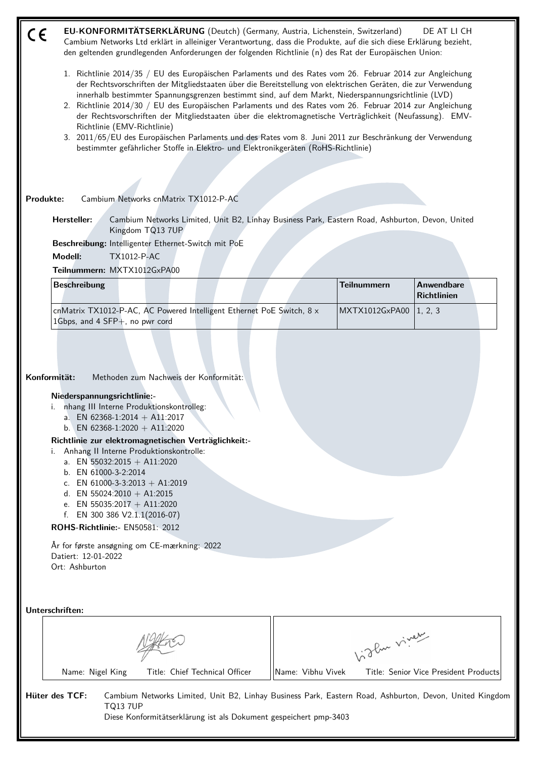| C€ | EU-KONFORMITÄTSERKLÄRUNG (Deutch) (Germany, Austria, Lichenstein, Switzerland)<br>DE AT LI CH<br>Cambium Networks Ltd erklärt in alleiniger Verantwortung, dass die Produkte, auf die sich diese Erklärung bezieht,<br>den geltenden grundlegenden Anforderungen der folgenden Richtlinie (n) des Rat der Europäischen Union:                                                                                                                                                                                                                                                                                                                                                                                                                                                                  |  |  |  |  |  |  |  |  |
|----|------------------------------------------------------------------------------------------------------------------------------------------------------------------------------------------------------------------------------------------------------------------------------------------------------------------------------------------------------------------------------------------------------------------------------------------------------------------------------------------------------------------------------------------------------------------------------------------------------------------------------------------------------------------------------------------------------------------------------------------------------------------------------------------------|--|--|--|--|--|--|--|--|
|    | 1. Richtlinie 2014/35 / EU des Europäischen Parlaments und des Rates vom 26. Februar 2014 zur Angleichung<br>der Rechtsvorschriften der Mitgliedstaaten über die Bereitstellung von elektrischen Geräten, die zur Verwendung<br>innerhalb bestimmter Spannungsgrenzen bestimmt sind, auf dem Markt, Niederspannungsrichtlinie (LVD)<br>2. Richtlinie 2014/30 / EU des Europäischen Parlaments und des Rates vom 26. Februar 2014 zur Angleichung<br>der Rechtsvorschriften der Mitgliedstaaten über die elektromagnetische Verträglichkeit (Neufassung). EMV-<br>Richtlinie (EMV-Richtlinie)<br>3. 2011/65/EU des Europäischen Parlaments und des Rates vom 8. Juni 2011 zur Beschränkung der Verwendung<br>bestimmter gefährlicher Stoffe in Elektro- und Elektronikgeräten (RoHS-Richtlinie) |  |  |  |  |  |  |  |  |
|    |                                                                                                                                                                                                                                                                                                                                                                                                                                                                                                                                                                                                                                                                                                                                                                                                |  |  |  |  |  |  |  |  |
|    | Cambium Networks cnMatrix TX1012-P-AC<br>Produkte:                                                                                                                                                                                                                                                                                                                                                                                                                                                                                                                                                                                                                                                                                                                                             |  |  |  |  |  |  |  |  |
|    | Hersteller:<br>Cambium Networks Limited, Unit B2, Linhay Business Park, Eastern Road, Ashburton, Devon, United<br>Kingdom TQ13 7UP                                                                                                                                                                                                                                                                                                                                                                                                                                                                                                                                                                                                                                                             |  |  |  |  |  |  |  |  |
|    | Beschreibung: Intelligenter Ethernet-Switch mit PoE                                                                                                                                                                                                                                                                                                                                                                                                                                                                                                                                                                                                                                                                                                                                            |  |  |  |  |  |  |  |  |
|    | Modell:<br><b>TX1012-P-AC</b><br>Teilnummern: MXTX1012GxPA00                                                                                                                                                                                                                                                                                                                                                                                                                                                                                                                                                                                                                                                                                                                                   |  |  |  |  |  |  |  |  |
|    | <b>Teilnummern</b><br>Anwendbare<br><b>Beschreibung</b>                                                                                                                                                                                                                                                                                                                                                                                                                                                                                                                                                                                                                                                                                                                                        |  |  |  |  |  |  |  |  |
|    | <b>Richtlinien</b>                                                                                                                                                                                                                                                                                                                                                                                                                                                                                                                                                                                                                                                                                                                                                                             |  |  |  |  |  |  |  |  |
|    | cnMatrix TX1012-P-AC, AC Powered Intelligent Ethernet PoE Switch, 8 x<br>MXTX1012GxPA00<br>1, 2, 3<br>1Gbps, and 4 SFP+, no pwr cord                                                                                                                                                                                                                                                                                                                                                                                                                                                                                                                                                                                                                                                           |  |  |  |  |  |  |  |  |
|    | Konformität:<br>Methoden zum Nachweis der Konformität:<br>Niederspannungsrichtlinie:-<br>nhang III Interne Produktionskontrolleg:<br>i.<br>a. EN 62368-1:2014 + A11:2017<br>b. EN 62368-1:2020 + A11:2020<br>Richtlinie zur elektromagnetischen Verträglichkeit:-<br>Anhang II Interne Produktionskontrolle:<br>i.<br>a. EN 55032:2015 + A11:2020<br>b. EN 61000-3-2:2014<br>c. EN 61000-3-3:2013 + A1:2019<br>d. EN 55024:2010 + A1:2015<br>e. EN 55035:2017 + A11:2020<br>f. EN 300 386 $V2.1.1(2016-07)$<br>ROHS-Richtlinie:- EN50581: 2012<br>År for første ansøgning om CE-mærkning: 2022<br>Datiert: 12-01-2022<br>Ort: Ashburton                                                                                                                                                        |  |  |  |  |  |  |  |  |
|    | Unterschriften:                                                                                                                                                                                                                                                                                                                                                                                                                                                                                                                                                                                                                                                                                                                                                                                |  |  |  |  |  |  |  |  |
|    | birthe vivey                                                                                                                                                                                                                                                                                                                                                                                                                                                                                                                                                                                                                                                                                                                                                                                   |  |  |  |  |  |  |  |  |
|    | Title: Chief Technical Officer<br>Name: Vibhu Vivek<br>Name: Nigel King<br>Title: Senior Vice President Products                                                                                                                                                                                                                                                                                                                                                                                                                                                                                                                                                                                                                                                                               |  |  |  |  |  |  |  |  |
|    | Hüter des TCF:<br>Cambium Networks Limited, Unit B2, Linhay Business Park, Eastern Road, Ashburton, Devon, United Kingdom<br><b>TQ13 7UP</b><br>Diese Konformitätserklärung ist als Dokument gespeichert pmp-3403                                                                                                                                                                                                                                                                                                                                                                                                                                                                                                                                                                              |  |  |  |  |  |  |  |  |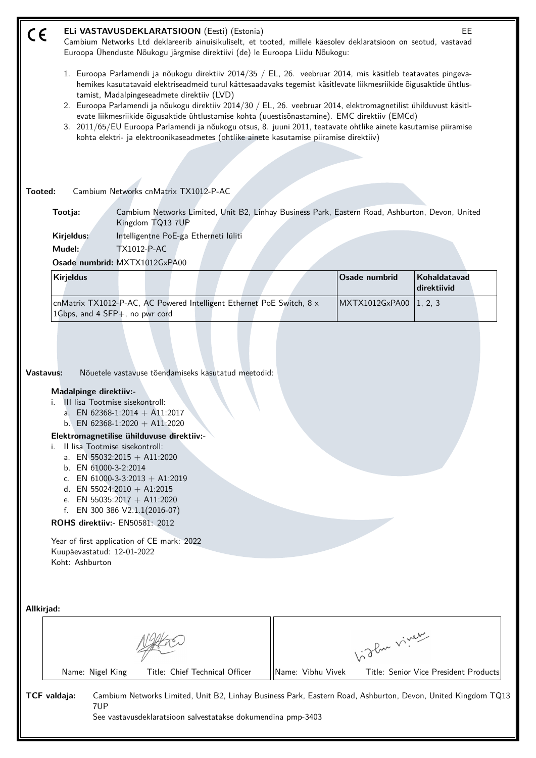| CE           |                                                                                             |                                                                                           |                                                                                                                                                                                                                                                                                                                    | ELi VASTAVUSDEKLARATSIOON (Eesti) (Estonia)                                             |                   |                                                                                                                                                                                                                                                                                                                                       | EE                                                                                                           |
|--------------|---------------------------------------------------------------------------------------------|-------------------------------------------------------------------------------------------|--------------------------------------------------------------------------------------------------------------------------------------------------------------------------------------------------------------------------------------------------------------------------------------------------------------------|-----------------------------------------------------------------------------------------|-------------------|---------------------------------------------------------------------------------------------------------------------------------------------------------------------------------------------------------------------------------------------------------------------------------------------------------------------------------------|--------------------------------------------------------------------------------------------------------------|
|              |                                                                                             |                                                                                           |                                                                                                                                                                                                                                                                                                                    | Euroopa Ühenduste Nõukogu järgmise direktiivi (de) le Euroopa Liidu Nõukogu:            |                   | Cambium Networks Ltd deklareerib ainuisikuliselt, et tooted, millele käesolev deklaratsioon on seotud, vastavad                                                                                                                                                                                                                       |                                                                                                              |
|              |                                                                                             |                                                                                           | tamist, Madalpingeseadmete direktiiv (LVD)                                                                                                                                                                                                                                                                         |                                                                                         |                   | 1. Euroopa Parlamendi ja nõukogu direktiiv 2014/35 / EL, 26. veebruar 2014, mis käsitleb teatavates pingeva-<br>hemikes kasutatavaid elektriseadmeid turul kättesaadavaks tegemist käsitlevate liikmesriikide õigusaktide ühtlus-                                                                                                     |                                                                                                              |
|              |                                                                                             |                                                                                           |                                                                                                                                                                                                                                                                                                                    |                                                                                         |                   | 2. Euroopa Parlamendi ja nõukogu direktiiv 2014/30 / EL, 26. veebruar 2014, elektromagnetilist ühilduvust käsitl-<br>evate liikmesriikide õigusaktide ühtlustamise kohta (uuestisõnastamine). EMC direktiiv (EMCd)<br>3. 2011/65/EU Euroopa Parlamendi ja nõukogu otsus, 8. juuni 2011, teatavate ohtlike ainete kasutamise piiramise |                                                                                                              |
|              |                                                                                             |                                                                                           |                                                                                                                                                                                                                                                                                                                    | kohta elektri- ja elektroonikaseadmetes (ohtlike ainete kasutamise piiramise direktiiv) |                   |                                                                                                                                                                                                                                                                                                                                       |                                                                                                              |
|              |                                                                                             |                                                                                           |                                                                                                                                                                                                                                                                                                                    |                                                                                         |                   |                                                                                                                                                                                                                                                                                                                                       |                                                                                                              |
| Tooted:      |                                                                                             |                                                                                           | Cambium Networks cnMatrix TX1012-P-AC                                                                                                                                                                                                                                                                              |                                                                                         |                   |                                                                                                                                                                                                                                                                                                                                       |                                                                                                              |
|              | Tootja:                                                                                     |                                                                                           | Kingdom TQ13 7UP                                                                                                                                                                                                                                                                                                   |                                                                                         |                   | Cambium Networks Limited, Unit B2, Linhay Business Park, Eastern Road, Ashburton, Devon, United                                                                                                                                                                                                                                       |                                                                                                              |
|              | Kirjeldus:                                                                                  |                                                                                           | Intelligentne PoE-ga Etherneti lüliti                                                                                                                                                                                                                                                                              |                                                                                         |                   |                                                                                                                                                                                                                                                                                                                                       |                                                                                                              |
|              | Mudel:                                                                                      |                                                                                           | <b>TX1012-P-AC</b>                                                                                                                                                                                                                                                                                                 |                                                                                         |                   |                                                                                                                                                                                                                                                                                                                                       |                                                                                                              |
|              |                                                                                             |                                                                                           | Osade numbrid: MXTX1012GxPA00                                                                                                                                                                                                                                                                                      |                                                                                         |                   |                                                                                                                                                                                                                                                                                                                                       |                                                                                                              |
|              | <b>Kirjeldus</b>                                                                            |                                                                                           |                                                                                                                                                                                                                                                                                                                    |                                                                                         |                   | Osade numbrid                                                                                                                                                                                                                                                                                                                         | Kohaldatavad<br>direktiivid                                                                                  |
|              | 1Gbps, and 4 SFP+, no pwr cord                                                              |                                                                                           |                                                                                                                                                                                                                                                                                                                    | cnMatrix TX1012-P-AC, AC Powered Intelligent Ethernet PoE Switch, 8 x                   |                   | MXTX1012GxPA00                                                                                                                                                                                                                                                                                                                        | 1, 2, 3                                                                                                      |
| i.           | a.<br>f.<br>ROHS direktiiv:- EN50581: 2012<br>Kuupäevastatud: 12-01-2022<br>Koht: Ashburton | III lisa Tootmise sisekontroll:<br>Il lisa Tootmise sisekontroll:<br>b. EN 61000-3-2:2014 | a. EN 62368-1:2014 + A11:2017<br>b. EN 62368-1:2020 + A11:2020<br>Elektromagnetilise ühilduvuse direktiiv:-<br>EN 55032:2015 + A11:2020<br>c. EN 61000-3-3:2013 + A1:2019<br>d. EN 55024:2010 + A1:2015<br>e. EN 55035:2017 + A11:2020<br>EN 300 386 V2.1.1(2016-07)<br>Year of first application of CE mark: 2022 |                                                                                         |                   |                                                                                                                                                                                                                                                                                                                                       |                                                                                                              |
| Allkirjad:   |                                                                                             |                                                                                           |                                                                                                                                                                                                                                                                                                                    |                                                                                         |                   | Vidley vivey                                                                                                                                                                                                                                                                                                                          |                                                                                                              |
|              | Name: Nigel King                                                                            |                                                                                           |                                                                                                                                                                                                                                                                                                                    | Title: Chief Technical Officer                                                          | Name: Vibhu Vivek |                                                                                                                                                                                                                                                                                                                                       | Title: Senior Vice President Products                                                                        |
| TCF valdaja: |                                                                                             | 7UP                                                                                       |                                                                                                                                                                                                                                                                                                                    | See vastavusdeklaratsioon salvestatakse dokumendina pmp-3403                            |                   |                                                                                                                                                                                                                                                                                                                                       | Cambium Networks Limited, Unit B2, Linhay Business Park, Eastern Road, Ashburton, Devon, United Kingdom TQ13 |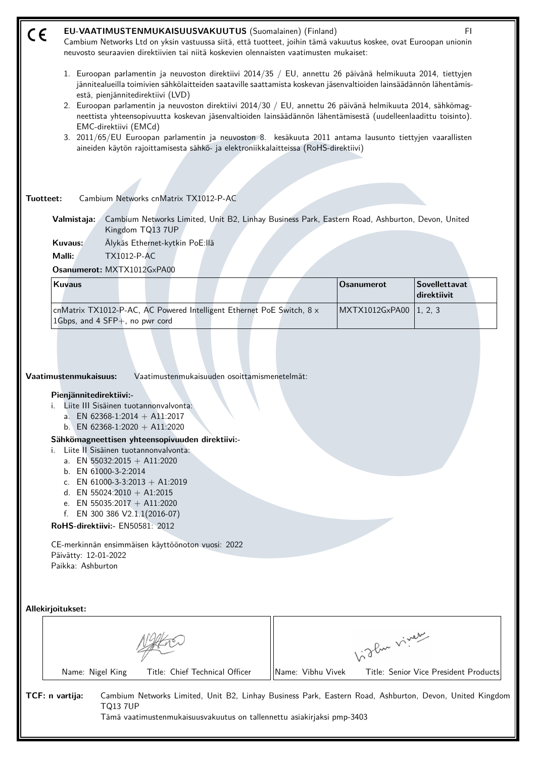| CE        | EU-VAATIMUSTENMUKAISUUSVAKUUTUS (Suomalainen) (Finland)<br>FI.<br>Cambium Networks Ltd on yksin vastuussa siitä, että tuotteet, joihin tämä vakuutus koskee, ovat Euroopan unionin<br>neuvosto seuraavien direktiivien tai niitä koskevien olennaisten vaatimusten mukaiset:                                                                                                                                                                                                                                                                                                                                                                                                                                                         |                   |                                       |  |  |  |  |  |
|-----------|--------------------------------------------------------------------------------------------------------------------------------------------------------------------------------------------------------------------------------------------------------------------------------------------------------------------------------------------------------------------------------------------------------------------------------------------------------------------------------------------------------------------------------------------------------------------------------------------------------------------------------------------------------------------------------------------------------------------------------------|-------------------|---------------------------------------|--|--|--|--|--|
|           | 1. Euroopan parlamentin ja neuvoston direktiivi 2014/35 / EU, annettu 26 päivänä helmikuuta 2014, tiettyjen<br>jännitealueilla toimivien sähkölaitteiden saataville saattamista koskevan jäsenvaltioiden lainsäädännön lähentämis-<br>estä, pienjännitedirektiivi (LVD)<br>2. Euroopan parlamentin ja neuvoston direktiivi 2014/30 / EU, annettu 26 päivänä helmikuuta 2014, sähkömag-<br>neettista yhteensopivuutta koskevan jäsenvaltioiden lainsäädännön lähentämisestä (uudelleenlaadittu toisinto).<br>EMC-direktiivi (EMCd)<br>3. 2011/65/EU Euroopan parlamentin ja neuvoston 8. kesäkuuta 2011 antama lausunto tiettyjen vaarallisten<br>aineiden käytön rajoittamisesta sähkö- ja elektroniikkalaitteissa (RoHS-direktiivi) |                   |                                       |  |  |  |  |  |
|           |                                                                                                                                                                                                                                                                                                                                                                                                                                                                                                                                                                                                                                                                                                                                      |                   |                                       |  |  |  |  |  |
| Tuotteet: | Cambium Networks cnMatrix TX1012-P-AC                                                                                                                                                                                                                                                                                                                                                                                                                                                                                                                                                                                                                                                                                                |                   |                                       |  |  |  |  |  |
|           | Cambium Networks Limited, Unit B2, Linhay Business Park, Eastern Road, Ashburton, Devon, United<br>Valmistaja:<br>Kingdom TQ13 7UP<br>Kuvaus:<br>Älykäs Ethernet-kytkin PoE:llä<br>Malli:<br><b>TX1012-P-AC</b><br>Osanumerot: MXTX1012GxPA00                                                                                                                                                                                                                                                                                                                                                                                                                                                                                        |                   |                                       |  |  |  |  |  |
|           | <b>Kuvaus</b>                                                                                                                                                                                                                                                                                                                                                                                                                                                                                                                                                                                                                                                                                                                        | <b>Osanumerot</b> | Sovellettavat<br>direktiivit          |  |  |  |  |  |
|           | cnMatrix TX1012-P-AC, AC Powered Intelligent Ethernet PoE Switch, 8 x<br>1Gbps, and 4 SFP+, no pwr cord                                                                                                                                                                                                                                                                                                                                                                                                                                                                                                                                                                                                                              | MXTX1012GxPA00    | 1, 2, 3                               |  |  |  |  |  |
|           | Vaatimustenmukaisuus:<br>Vaatimustenmukaisuuden osoittamismenetelmät:<br>Pienjännitedirektiivi:-<br>Liite III Sisäinen tuotannonvalvonta:<br>i.<br>a. EN 62368-1:2014 + A11:2017<br>b. EN 62368-1:2020 + A11:2020<br>Sähkömagneettisen yhteensopivuuden direktiivi:-<br>Liite II Sisäinen tuotannonvalvonta:<br>i.<br>a. EN 55032:2015 + A11:2020<br>b. EN 61000-3-2:2014<br>c. EN 61000-3-3:2013 + A1:2019<br>d. EN 55024:2010 + A1:2015<br>e. EN 55035:2017 + A11:2020<br>f. EN 300 386 $V2.1.1(2016-07)$<br>RoHS-direktiivi:- EN50581: 2012<br>CE-merkinnän ensimmäisen käyttöönoton vuosi: 2022<br>Päivätty: 12-01-2022<br>Paikka: Ashburton                                                                                     |                   |                                       |  |  |  |  |  |
|           | Allekirjoitukset:                                                                                                                                                                                                                                                                                                                                                                                                                                                                                                                                                                                                                                                                                                                    |                   |                                       |  |  |  |  |  |
|           |                                                                                                                                                                                                                                                                                                                                                                                                                                                                                                                                                                                                                                                                                                                                      | Vidlen viney      |                                       |  |  |  |  |  |
|           | Name: Nigel King<br>Title: Chief Technical Officer                                                                                                                                                                                                                                                                                                                                                                                                                                                                                                                                                                                                                                                                                   | Name: Vibhu Vivek | Title: Senior Vice President Products |  |  |  |  |  |

**TCF: n vartija:** Cambium Networks Limited, Unit B2, Linhay Business Park, Eastern Road, Ashburton, Devon, United Kingdom TQ13 7UP Tämä vaatimustenmukaisuusvakuutus on tallennettu asiakirjaksi pmp-3403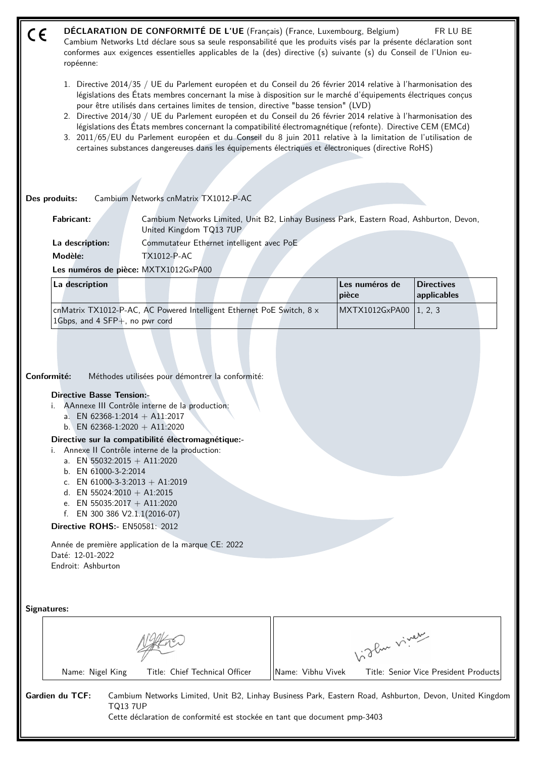- **DÉCLARATION DE CONFORMITÉ DE L'UE** (Français) (France, Luxembourg, Belgium) FR LU BE  $\epsilon$ Cambium Networks Ltd déclare sous sa seule responsabilité que les produits visés par la présente déclaration sont conformes aux exigences essentielles applicables de la (des) directive (s) suivante (s) du Conseil de l'Union européenne:
	- 1. Directive 2014/35 / UE du Parlement européen et du Conseil du 26 février 2014 relative à l'harmonisation des législations des États membres concernant la mise à disposition sur le marché d'équipements électriques conçus pour être utilisés dans certaines limites de tension, directive "basse tension" (LVD)
	- 2. Directive 2014/30 / UE du Parlement européen et du Conseil du 26 février 2014 relative à l'harmonisation des législations des États membres concernant la compatibilité électromagnétique (refonte). Directive CEM (EMCd)
	- 3. 2011/65/EU du Parlement européen et du Conseil du 8 juin 2011 relative à la limitation de l'utilisation de certaines substances dangereuses dans les équipements électriques et électroniques (directive RoHS)

**Des produits:** Cambium Networks cnMatrix TX1012-P-AC

| <b>Fabricant:</b> | Cambium Networks Limited, Unit B2, Linhay Business Park, Eastern Road, Ashburton, Devon,<br>United Kingdom TQ13 7UP |
|-------------------|---------------------------------------------------------------------------------------------------------------------|
| La description:   | Commutateur Ethernet intelligent avec PoE                                                                           |
| Modèle:           | TX1012-P-AC                                                                                                         |

**Les numéros de pièce:** MXTX1012GxPA00

| La description                                                                        |  |  |  |  | l Les numéros de<br>  pièce | <b>Directives</b><br>$ $ applicables |  |
|---------------------------------------------------------------------------------------|--|--|--|--|-----------------------------|--------------------------------------|--|
| $\alpha$ cnMatrix TX1012-P-AC, AC Powered Intelligent Ethernet PoE Switch, 8 $\times$ |  |  |  |  | MXTX1012GxPA00   1, 2, 3    |                                      |  |
| 1 Gbps, and 4 $SFP+$ , no pwr cord                                                    |  |  |  |  |                             |                                      |  |

**Conformité:** Méthodes utilisées pour démontrer la conformité:

## **Directive Basse Tension:-**

- i. AAnnexe III Contrôle interne de la production:
	- a. EN 62368-1:2014 + A11:2017
	- b. EN 62368-1:2020 + A11:2020

# **Directive sur la compatibilité électromagnétique:-**

- i. Annexe II Contrôle interne de la production:
	- a. EN 55032:2015 + A11:2020
	- b. EN 61000-3-2:2014
	- c. EN 61000-3-3:2013 + A1:2019
	- d. EN 55024:2010 + A1:2015
	- e. EN 55035:2017 + A11:2020
	- f. EN 300 386 V2.1.1(2016-07)

#### **Directive ROHS:-** EN50581: 2012

Année de première application de la marque CE: 2022 Daté: 12-01-2022 Endroit: Ashburton

**Signatures:**

|                             |                                | oflue viver       |                                                                                                         |  |  |  |  |
|-----------------------------|--------------------------------|-------------------|---------------------------------------------------------------------------------------------------------|--|--|--|--|
| Name: Nigel King            | Title: Chief Technical Officer | Name: Vibhu Vivek | Title: Senior Vice President Products                                                                   |  |  |  |  |
| Gardien du TCF:<br>T013 7UP |                                |                   | Cambium Networks Limited, Unit B2, Linhay Business Park, Eastern Road, Ashburton, Devon, United Kingdom |  |  |  |  |

Cette déclaration de conformité est stockée en tant que document pmp-3403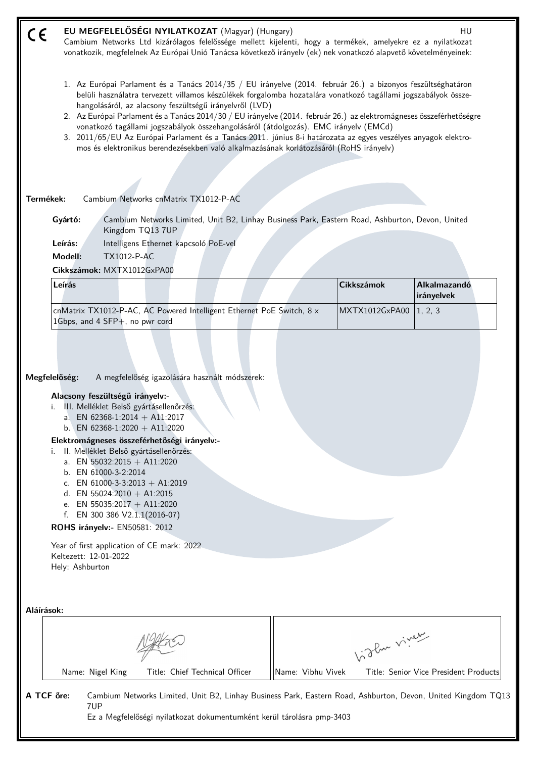| CE                  | EU MEGFELELŐSÉGI NYILATKOZAT (Magyar) (Hungary)<br>Cambium Networks Ltd kizárólagos felelőssége mellett kijelenti, hogy a termékek, amelyekre ez a nyilatkozat<br>vonatkozik, megfelelnek Az Európai Unió Tanácsa következő irányelv (ek) nek vonatkozó alapvető követelményeinek:                                                                                                                                                                                                                                                                                                                                                                                                                                  |                   |                   | HU                                    |
|---------------------|---------------------------------------------------------------------------------------------------------------------------------------------------------------------------------------------------------------------------------------------------------------------------------------------------------------------------------------------------------------------------------------------------------------------------------------------------------------------------------------------------------------------------------------------------------------------------------------------------------------------------------------------------------------------------------------------------------------------|-------------------|-------------------|---------------------------------------|
|                     | 1. Az Európai Parlament és a Tanács 2014/35 / EU irányelve (2014. február 26.) a bizonyos feszültséghatáron<br>belüli használatra tervezett villamos készülékek forgalomba hozatalára vonatkozó tagállami jogszabályok össze-<br>hangolásáról, az alacsony feszültségű irányelvről (LVD)<br>2. Az Európai Parlament és a Tanács 2014/30 / EU irányelve (2014. február 26.) az elektromágneses összeférhetőségre<br>vonatkozó tagállami jogszabályok összehangolásáról (átdolgozás). EMC irányelv (EMCd)<br>3. 2011/65/EU Az Európai Parlament és a Tanács 2011. június 8-i határozata az egyes veszélyes anyagok elektro-<br>mos és elektronikus berendezésekben való alkalmazásának korlátozásáról (RoHS irányelv) |                   |                   |                                       |
|                     |                                                                                                                                                                                                                                                                                                                                                                                                                                                                                                                                                                                                                                                                                                                     |                   |                   |                                       |
| Termékek:           | Cambium Networks cnMatrix TX1012-P-AC                                                                                                                                                                                                                                                                                                                                                                                                                                                                                                                                                                                                                                                                               |                   |                   |                                       |
|                     | Cambium Networks Limited, Unit B2, Linhay Business Park, Eastern Road, Ashburton, Devon, United<br>Gyártó:<br>Kingdom TQ13 7UP                                                                                                                                                                                                                                                                                                                                                                                                                                                                                                                                                                                      |                   |                   |                                       |
|                     | Leírás:<br>Intelligens Ethernet kapcsoló PoE-vel                                                                                                                                                                                                                                                                                                                                                                                                                                                                                                                                                                                                                                                                    |                   |                   |                                       |
|                     | Modell:<br><b>TX1012-P-AC</b>                                                                                                                                                                                                                                                                                                                                                                                                                                                                                                                                                                                                                                                                                       |                   |                   |                                       |
|                     | Cikkszámok: MXTX1012GxPA00<br>Leírás                                                                                                                                                                                                                                                                                                                                                                                                                                                                                                                                                                                                                                                                                |                   | <b>Cikkszámok</b> | Alkalmazandó                          |
|                     |                                                                                                                                                                                                                                                                                                                                                                                                                                                                                                                                                                                                                                                                                                                     |                   |                   | irányelvek                            |
|                     | cnMatrix TX1012-P-AC, AC Powered Intelligent Ethernet PoE Switch, 8 x<br>1Gbps, and 4 SFP+, no pwr cord                                                                                                                                                                                                                                                                                                                                                                                                                                                                                                                                                                                                             |                   | MXTX1012GxPA00    | 1, 2, 3                               |
| Megfelelőség:<br>i. | A megfelelőség igazolására használt módszerek:<br>Alacsony feszültségű irányelv:-<br>III. Melléklet Belső gyártásellenőrzés:<br>a. EN 62368-1:2014 + A11:2017<br>b. EN 62368-1:2020 + A11:2020<br>Elektromágneses összeférhetőségi irányelv:-<br>i. II. Melléklet Belső gyártásellenőrzés:<br>a. EN 55032:2015 + A11:2020<br>b. EN 61000-3-2:2014<br>c. EN 61000-3-3:2013 + A1:2019<br>d. EN 55024:2010 + A1:2015<br>e. EN 55035:2017 + A11:2020<br>f. EN 300 386 $V2.1.1(2016-07)$<br>ROHS irányelv:- EN50581: 2012<br>Year of first application of CE mark: 2022<br>Keltezett: 12-01-2022<br>Hely: Ashburton                                                                                                      |                   |                   |                                       |
| Aláírások:          |                                                                                                                                                                                                                                                                                                                                                                                                                                                                                                                                                                                                                                                                                                                     |                   |                   |                                       |
|                     |                                                                                                                                                                                                                                                                                                                                                                                                                                                                                                                                                                                                                                                                                                                     |                   | birthe vivey      |                                       |
|                     | Title: Chief Technical Officer<br>Name: Nigel King                                                                                                                                                                                                                                                                                                                                                                                                                                                                                                                                                                                                                                                                  | Name: Vibhu Vivek |                   | Title: Senior Vice President Products |
| A TCF öre:          | Cambium Networks Limited, Unit B2, Linhay Business Park, Eastern Road, Ashburton, Devon, United Kingdom TQ13<br>7UP<br>Ez a Megfelelőségi nyilatkozat dokumentumként kerül tárolásra pmp-3403                                                                                                                                                                                                                                                                                                                                                                                                                                                                                                                       |                   |                   |                                       |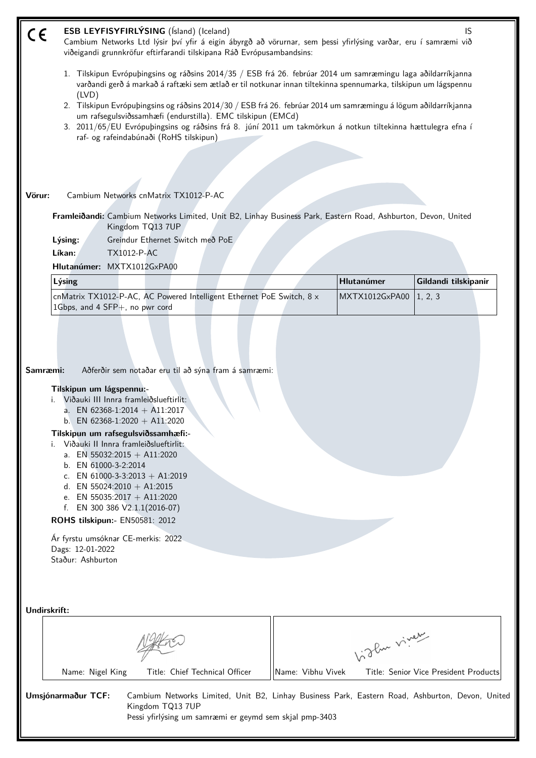| C€     |                                                                                                                                                                                                                                                                                                                                          | ESB LEYFISYFIRLÝSING (Ísland) (Iceland)                                         | Cambium Networks Ltd lýsir því yfir á eigin ábyrgð að vörurnar, sem þessi yfirlýsing varðar, eru í samræmi við<br>viðeigandi grunnkröfur eftirfarandi tilskipana Ráð Evrópusambandsins: |                   |                | IS                                                                                              |  |  |  |
|--------|------------------------------------------------------------------------------------------------------------------------------------------------------------------------------------------------------------------------------------------------------------------------------------------------------------------------------------------|---------------------------------------------------------------------------------|-----------------------------------------------------------------------------------------------------------------------------------------------------------------------------------------|-------------------|----------------|-------------------------------------------------------------------------------------------------|--|--|--|
|        | 1. Tilskipun Evrópuþingsins og ráðsins 2014/35 / ESB frá 26. febrúar 2014 um samræmingu laga aðildarríkjanna<br>varðandi gerð á markað á raftæki sem ætlað er til notkunar innan tiltekinna spennumarka, tilskipun um lágspennu<br>(IVD)                                                                                                 |                                                                                 |                                                                                                                                                                                         |                   |                |                                                                                                 |  |  |  |
|        | 2. Tilskipun Evrópuþingsins og ráðsins 2014/30 / ESB frá 26. febrúar 2014 um samræmingu á lögum aðildarríkjanna<br>um rafsegulsviðssamhæfi (endurstilla). EMC tilskipun (EMCd)<br>3. 2011/65/EU Evrópuþingsins og ráðsins frá 8. júní 2011 um takmörkun á notkun tiltekinna hættulegra efna í<br>raf- og rafeindabúnaði (RoHS tilskipun) |                                                                                 |                                                                                                                                                                                         |                   |                |                                                                                                 |  |  |  |
|        |                                                                                                                                                                                                                                                                                                                                          |                                                                                 |                                                                                                                                                                                         |                   |                |                                                                                                 |  |  |  |
| Vörur: |                                                                                                                                                                                                                                                                                                                                          | Cambium Networks cnMatrix TX1012-P-AC                                           |                                                                                                                                                                                         |                   |                |                                                                                                 |  |  |  |
|        |                                                                                                                                                                                                                                                                                                                                          | Kingdom TQ13 7UP                                                                | Framleiðandi: Cambium Networks Limited, Unit B2, Linhay Business Park, Eastern Road, Ashburton, Devon, United                                                                           |                   |                |                                                                                                 |  |  |  |
|        | Lýsing:                                                                                                                                                                                                                                                                                                                                  | Greindur Ethernet Switch með PoE                                                |                                                                                                                                                                                         |                   |                |                                                                                                 |  |  |  |
|        | Líkan:                                                                                                                                                                                                                                                                                                                                   | TX1012-P-AC                                                                     |                                                                                                                                                                                         |                   |                |                                                                                                 |  |  |  |
|        |                                                                                                                                                                                                                                                                                                                                          | Hlutanúmer: MXTX1012GxPA00                                                      |                                                                                                                                                                                         |                   | Hlutanúmer     |                                                                                                 |  |  |  |
|        | Lýsing                                                                                                                                                                                                                                                                                                                                   |                                                                                 | cnMatrix TX1012-P-AC, AC Powered Intelligent Ethernet PoE Switch, 8 x                                                                                                                   |                   | MXTX1012GxPA00 | Gildandi tilskipanir<br>1, 2, 3                                                                 |  |  |  |
|        | 1Gbps, and 4 SFP+, no pwr cord                                                                                                                                                                                                                                                                                                           |                                                                                 |                                                                                                                                                                                         |                   |                |                                                                                                 |  |  |  |
|        | Samræmi:<br>Tilskipun um lágspennu:-                                                                                                                                                                                                                                                                                                     | Viðauki III Innra framleiðslueftirlit:                                          | Aðferðir sem notaðar eru til að sýna fram á samræmi:                                                                                                                                    |                   |                |                                                                                                 |  |  |  |
|        |                                                                                                                                                                                                                                                                                                                                          | a. EN 62368-1:2014 + A11:2017<br>b. EN 62368-1:2020 + A11:2020                  |                                                                                                                                                                                         |                   |                |                                                                                                 |  |  |  |
|        |                                                                                                                                                                                                                                                                                                                                          | Tilskipun um rafsegulsviðssamhæfi:-<br>i. Viðauki II Innra framleiðslueftirlit: |                                                                                                                                                                                         |                   |                |                                                                                                 |  |  |  |
|        |                                                                                                                                                                                                                                                                                                                                          | a. EN 55032:2015 + A11:2020                                                     |                                                                                                                                                                                         |                   |                |                                                                                                 |  |  |  |
|        | b. EN 61000-3-2:2014                                                                                                                                                                                                                                                                                                                     | c. EN 61000-3-3:2013 + A1:2019                                                  |                                                                                                                                                                                         |                   |                |                                                                                                 |  |  |  |
|        |                                                                                                                                                                                                                                                                                                                                          | d. EN 55024:2010 + A1:2015<br>e. EN 55035:2017 + A11:2020                       |                                                                                                                                                                                         |                   |                |                                                                                                 |  |  |  |
|        | f.                                                                                                                                                                                                                                                                                                                                       | EN 300 386 V2.1.1(2016-07)                                                      |                                                                                                                                                                                         |                   |                |                                                                                                 |  |  |  |
|        |                                                                                                                                                                                                                                                                                                                                          | ROHS tilskipun:- EN50581: 2012                                                  |                                                                                                                                                                                         |                   |                |                                                                                                 |  |  |  |
|        | Dags: 12-01-2022<br>Staður: Ashburton                                                                                                                                                                                                                                                                                                    | Ár fyrstu umsóknar CE-merkis: 2022                                              |                                                                                                                                                                                         |                   |                |                                                                                                 |  |  |  |
|        |                                                                                                                                                                                                                                                                                                                                          |                                                                                 |                                                                                                                                                                                         |                   |                |                                                                                                 |  |  |  |
|        | Undirskrift:                                                                                                                                                                                                                                                                                                                             |                                                                                 |                                                                                                                                                                                         |                   |                |                                                                                                 |  |  |  |
|        |                                                                                                                                                                                                                                                                                                                                          |                                                                                 |                                                                                                                                                                                         |                   |                |                                                                                                 |  |  |  |
|        |                                                                                                                                                                                                                                                                                                                                          |                                                                                 |                                                                                                                                                                                         |                   | Vidley vivey   |                                                                                                 |  |  |  |
|        | Name: Nigel King                                                                                                                                                                                                                                                                                                                         |                                                                                 | Title: Chief Technical Officer                                                                                                                                                          | Name: Vibhu Vivek |                | Title: Senior Vice President Products                                                           |  |  |  |
|        | Umsjónarmaður TCF:                                                                                                                                                                                                                                                                                                                       | Kingdom TQ13 7UP                                                                | Þessi yfirlýsing um samræmi er geymd sem skjal pmp-3403                                                                                                                                 |                   |                | Cambium Networks Limited, Unit B2, Linhay Business Park, Eastern Road, Ashburton, Devon, United |  |  |  |
|        |                                                                                                                                                                                                                                                                                                                                          |                                                                                 |                                                                                                                                                                                         |                   |                |                                                                                                 |  |  |  |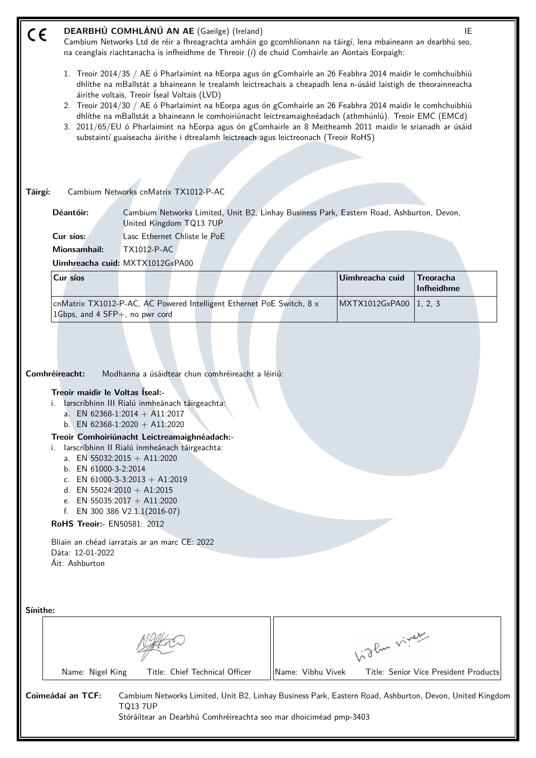| $C \in$  |                                                                                                                                                                                            | DEARBHÚ COMHLÁNÚ AN AE (Gaeilge) (Ireland)<br>Cambium Networks Ltd de réir a fhreagrachta amháin go gcomhlíonann na táirgí, lena mbaineann an dearbhú seo,<br>na ceanglais riachtanacha is infheidhme de Threoir (í) de chuid Comhairle an Aontais Eorpaigh:                                                                                                                                                                                             |                   |                 | IE                                    |
|----------|--------------------------------------------------------------------------------------------------------------------------------------------------------------------------------------------|----------------------------------------------------------------------------------------------------------------------------------------------------------------------------------------------------------------------------------------------------------------------------------------------------------------------------------------------------------------------------------------------------------------------------------------------------------|-------------------|-----------------|---------------------------------------|
|          |                                                                                                                                                                                            | 1. Treoir 2014/35 / AE ó Pharlaimint na hEorpa agus ón gComhairle an 26 Feabhra 2014 maidir le comhchuibhiú<br>dhlíthe na mBallstát a bhaineann le trealamh leictreachais a cheapadh lena n-úsáid laistigh de theorainneacha<br>áirithe voltais, Treoir Íseal Voltais (LVD)                                                                                                                                                                              |                   |                 |                                       |
|          |                                                                                                                                                                                            | 2. Treoir 2014/30 / AE ó Pharlaimint na hEorpa agus ón gComhairle an 26 Feabhra 2014 maidir le comhchuibhiú<br>dhlíthe na mBallstát a bhaineann le comhoiriúnacht leictreamaighnéadach (athmhúnlú). Treoir EMC (EMCd)<br>3. 2011/65/EU ó Pharlaimint na hEorpa agus ón gComhairle an 8 Meitheamh 2011 maidir le srianadh ar úsáid<br>substaintí guaiseacha áirithe i dtrealamh leictreach agus leictreonach (Treoir RoHS)                                |                   |                 |                                       |
|          |                                                                                                                                                                                            |                                                                                                                                                                                                                                                                                                                                                                                                                                                          |                   |                 |                                       |
|          |                                                                                                                                                                                            |                                                                                                                                                                                                                                                                                                                                                                                                                                                          |                   |                 |                                       |
| Táirgí:  |                                                                                                                                                                                            | Cambium Networks cnMatrix TX1012-P-AC                                                                                                                                                                                                                                                                                                                                                                                                                    |                   |                 |                                       |
|          | Déantóir:                                                                                                                                                                                  | Cambium Networks Limited, Unit B2, Linhay Business Park, Eastern Road, Ashburton, Devon,<br>United Kingdom TQ13 7UP                                                                                                                                                                                                                                                                                                                                      |                   |                 |                                       |
|          | Cur síos:                                                                                                                                                                                  | Lasc Ethernet Chliste le PoE                                                                                                                                                                                                                                                                                                                                                                                                                             |                   |                 |                                       |
|          | <b>Mionsamhail:</b>                                                                                                                                                                        | TX1012-P-AC                                                                                                                                                                                                                                                                                                                                                                                                                                              |                   |                 |                                       |
|          |                                                                                                                                                                                            | Uimhreacha cuid: MXTX1012GxPA00                                                                                                                                                                                                                                                                                                                                                                                                                          |                   |                 |                                       |
|          | Cur síos                                                                                                                                                                                   |                                                                                                                                                                                                                                                                                                                                                                                                                                                          |                   | Uimhreacha cuid | <b>Treoracha</b><br>Infheidhme        |
|          | 1Gbps, and 4 SFP+, no pwr cord                                                                                                                                                             | cnMatrix TX1012-P-AC, AC Powered Intelligent Ethernet PoE Switch, 8 x                                                                                                                                                                                                                                                                                                                                                                                    |                   | MXTX1012GxPA00  | 1, 2, 3                               |
|          | Comhréireacht:<br>Treoir maidir le Voltas Iseal:-<br>i. I<br>i.<br>b. EN 61000-3-2:2014<br>d. EN 55024:2010 + A1:2015<br>RoHS Treoir:- EN50581: 2012<br>Dáta: 12-01-2022<br>Áit: Ashburton | Modhanna a úsáidtear chun comhréireacht a léiriú:<br>larscríbhinn III Rialú inmheánach táirgeachta:<br>a. EN 62368-1:2014 + A11:2017<br>b. EN 62368-1:2020 + A11:2020<br>Treoir Comhoiriúnacht Leictreamaighnéadach:-<br>larscríbhinn II Rialú inmheánach táirgeachta:<br>a. EN 55032:2015 + A11:2020<br>c. EN 61000-3-3:2013 + A1:2019<br>e. EN 55035:2017 + A11:2020<br>f. EN 300 386 V2.1.1(2016-07)<br>Bliain an chéad iarratais ar an marc CE: 2022 |                   |                 |                                       |
| Sínithe: |                                                                                                                                                                                            |                                                                                                                                                                                                                                                                                                                                                                                                                                                          |                   | birthe vivey    |                                       |
|          | Name: Nigel King                                                                                                                                                                           | Title: Chief Technical Officer                                                                                                                                                                                                                                                                                                                                                                                                                           | Name: Vibhu Vivek |                 | Title: Senior Vice President Products |
|          | Coimeádaí an TCF:                                                                                                                                                                          | Cambium Networks Limited, Unit B2, Linhay Business Park, Eastern Road, Ashburton, Devon, United Kingdom<br><b>TQ13 7UP</b><br>Stóráiltear an Dearbhú Comhréireachta seo mar dhoiciméad pmp-3403                                                                                                                                                                                                                                                          |                   |                 |                                       |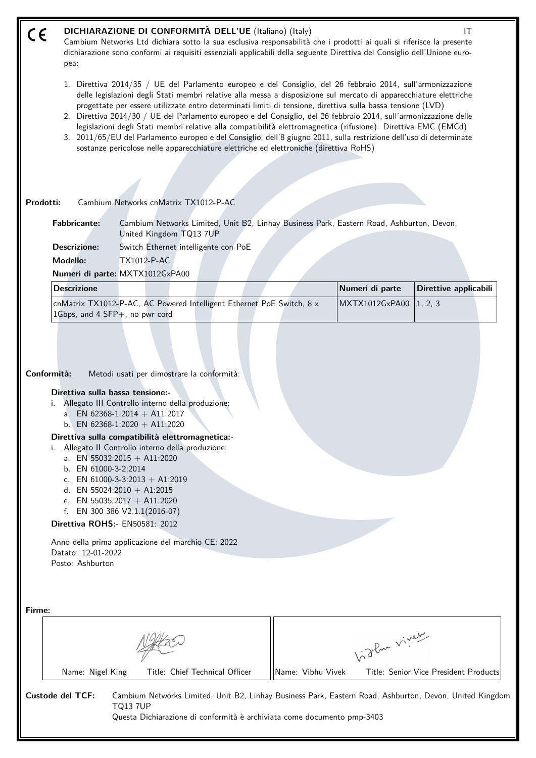#### **DICHIARAZIONE DI CONFORMITÀ DELL'UE** (Italiano) (Italy) **IT**  $\epsilon$

Cambium Networks Ltd dichiara sotto la sua esclusiva responsabilità che i prodotti ai quali si riferisce la presente dichiarazione sono conformi ai requisiti essenziali applicabili della seguente Direttiva del Consiglio dell'Unione europea:

- 1. Direttiva 2014/35 / UE del Parlamento europeo e del Consiglio, del 26 febbraio 2014, sull'armonizzazione delle legislazioni degli Stati membri relative alla messa a disposizione sul mercato di apparecchiature elettriche progettate per essere utilizzate entro determinati limiti di tensione, direttiva sulla bassa tensione (LVD)
- 2. Direttiva 2014/30 / UE del Parlamento europeo e del Consiglio, del 26 febbraio 2014, sull'armonizzazione delle legislazioni degli Stati membri relative alla compatibilità elettromagnetica (rifusione). Direttiva EMC (EMCd)
- 3. 2011/65/EU del Parlamento europeo e del Consiglio, dell'8 giugno 2011, sulla restrizione dell'uso di determinate sostanze pericolose nelle apparecchiature elettriche ed elettroniche (direttiva RoHS)

#### **Prodotti:** Cambium Networks cnMatrix TX1012-P-AC

**Fabbricante:** Cambium Networks Limited, Unit B2, Linhay Business Park, Eastern Road, Ashburton, Devon, United Kingdom TQ13 7UP

**Descrizione:** Switch Ethernet intelligente con PoE

**Modello:** TX1012-P-AC

**Numeri di parte:** MXTX1012GxPA00

| <b>Descrizione</b>                                                               |  |  | Numeri di parte          | Direttive applicabili |
|----------------------------------------------------------------------------------|--|--|--------------------------|-----------------------|
| $ $ cnMatrix TX1012-P-AC, AC Powered Intelligent Ethernet PoE Switch, 8 $\times$ |  |  | MXTX1012GxPA00   1, 2, 3 |                       |
| $1Gbps$ , and 4 SFP $+$ , no pwr cord                                            |  |  |                          |                       |

**Conformità:** Metodi usati per dimostrare la conformità:

#### **Direttiva sulla bassa tensione:-**

- i. Allegato III Controllo interno della produzione:
	- a. EN 62368-1:2014 + A11:2017
	- b. EN 62368-1:2020 + A11:2020

# **Direttiva sulla compatibilità elettromagnetica:-**

- i. Allegato II Controllo interno della produzione:
	- a. EN 55032:2015 + A11:2020
	- b. EN 61000-3-2:2014
	- c. EN 61000-3-3:2013 + A1:2019
	- d. EN 55024:2010 + A1:2015
	- e. EN 55035:2017 + A11:2020
	- f. EN 300 386 V2.1.1(2016-07)

**Direttiva ROHS:-** EN50581: 2012

Anno della prima applicazione del marchio CE: 2022 Datato: 12-01-2022 Posto: Ashburton

| Firme:                  |                                                                                                                                                                                                      |                   |                                       |
|-------------------------|------------------------------------------------------------------------------------------------------------------------------------------------------------------------------------------------------|-------------------|---------------------------------------|
|                         |                                                                                                                                                                                                      |                   | 1:3 Pur viver                         |
| Name: Nigel King        | Title: Chief Technical Officer                                                                                                                                                                       | Name: Vibhu Vivek | Title: Senior Vice President Products |
| <b>Custode del TCF:</b> | Cambium Networks Limited, Unit B2, Linhay Business Park, Eastern Road, Ashburton, Devon, United Kingdom<br><b>TQ137UP</b><br>Questa Dichiarazione di conformità è archiviata come documento pmp-3403 |                   |                                       |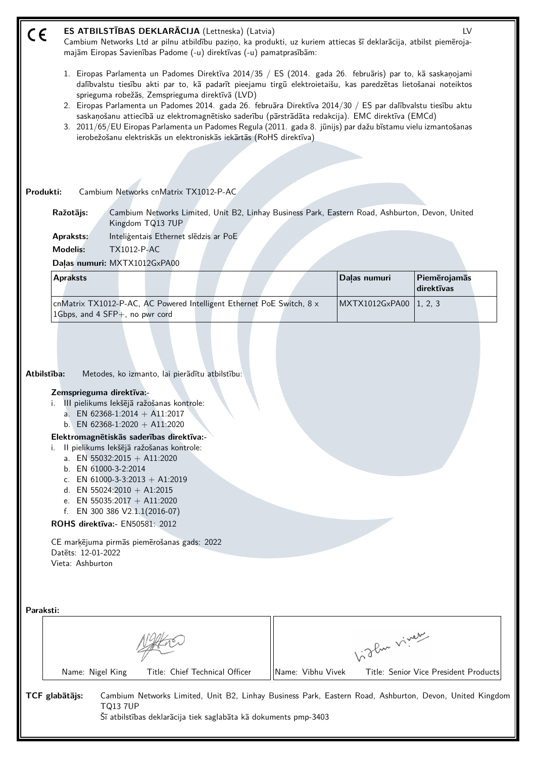| C€                | ES ATBILSTĪBAS DEKLARĀCIJA (Lettneska) (Latvia)<br>Cambium Networks Ltd ar pilnu atbildību paziņo, ka produkti, uz kuriem attiecas šī deklarācija, atbilst piemēroja-<br>majām Eiropas Savienības Padome (-u) direktīvas (-u) pamatprasībām:                                                                                                                                                                                                                                                                                                                                                                                                                                                |                   | LV                                      |
|-------------------|---------------------------------------------------------------------------------------------------------------------------------------------------------------------------------------------------------------------------------------------------------------------------------------------------------------------------------------------------------------------------------------------------------------------------------------------------------------------------------------------------------------------------------------------------------------------------------------------------------------------------------------------------------------------------------------------|-------------------|-----------------------------------------|
|                   | 1. Eiropas Parlamenta un Padomes Direktīva 2014/35 / ES (2014. gada 26. februāris) par to, kā saskaņojami<br>dalībvalstu tiesību akti par to, kā padarīt pieejamu tirgū elektroietaišu, kas paredzētas lietošanai noteiktos<br>sprieguma robežās, Zemsprieguma direktīvā (LVD)<br>2. Eiropas Parlamenta un Padomes 2014. gada 26. februāra Direktīva 2014/30 / ES par dalībvalstu tiesību aktu<br>saskaņošanu attiecībā uz elektromagnētisko saderību (pārstrādāta redakcija). EMC direktīva (EMCd)<br>3. 2011/65/EU Eiropas Parlamenta un Padomes Regula (2011. gada 8. jūnijs) par dažu bīstamu vielu izmantošanas<br>ierobežošanu elektriskās un elektroniskās iekārtās (RoHS direktīva) |                   |                                         |
|                   |                                                                                                                                                                                                                                                                                                                                                                                                                                                                                                                                                                                                                                                                                             |                   |                                         |
| Produkti:         | Cambium Networks cnMatrix TX1012-P-AC                                                                                                                                                                                                                                                                                                                                                                                                                                                                                                                                                                                                                                                       |                   |                                         |
|                   | Cambium Networks Limited, Unit B2, Linhay Business Park, Eastern Road, Ashburton, Devon, United<br>Ražotājs:<br>Kingdom TQ13 7UP                                                                                                                                                                                                                                                                                                                                                                                                                                                                                                                                                            |                   |                                         |
|                   | Inteligentais Ethernet sledzis ar PoE<br><b>Apraksts:</b><br><b>Modelis:</b><br>TX1012-P-AC<br>Dalas numuri: MXTX1012GxPA00                                                                                                                                                                                                                                                                                                                                                                                                                                                                                                                                                                 |                   |                                         |
|                   | <b>Apraksts</b>                                                                                                                                                                                                                                                                                                                                                                                                                                                                                                                                                                                                                                                                             | Daļas numuri      | Piemērojamās                            |
|                   | cnMatrix TX1012-P-AC, AC Powered Intelligent Ethernet PoE Switch, 8 x<br>1Gbps, and 4 SFP+, no pwr cord                                                                                                                                                                                                                                                                                                                                                                                                                                                                                                                                                                                     |                   | direktīvas<br>MXTX1012GxPA00<br>1, 2, 3 |
| Atbilstība:<br>i. | Metodes, ko izmanto, lai pierādītu atbilstību:<br>Zemsprieguma direktīva:-<br>i. III pielikums lekšējā ražošanas kontrole:<br>a. EN 62368-1:2014 + A11:2017<br>b. EN 62368-1:2020 + A11:2020<br>Elektromagnētiskās saderības direktīva:-<br>II pielikums lekšējā ražošanas kontrole:<br>a. EN 55032:2015 + A11:2020<br>b. EN 61000-3-2:2014<br>c. EN 61000-3-3:2013 + A1:2019<br>d. EN 55024:2010 + A1:2015<br>e. EN 55035:2017 + A11:2020<br>f. EN 300 386 $V2.1.1(2016-07)$<br>ROHS direktīva: - EN50581: 2012<br>CE marķējuma pirmās piemērošanas gads: 2022<br>Datets: 12-01-2022<br>Vieta: Ashburton                                                                                   |                   |                                         |
| Paraksti:         |                                                                                                                                                                                                                                                                                                                                                                                                                                                                                                                                                                                                                                                                                             |                   |                                         |
|                   |                                                                                                                                                                                                                                                                                                                                                                                                                                                                                                                                                                                                                                                                                             |                   | biglan viney                            |
|                   | Title: Chief Technical Officer<br>Name: Nigel King                                                                                                                                                                                                                                                                                                                                                                                                                                                                                                                                                                                                                                          | Name: Vibhu Vivek | Title: Senior Vice President Products   |
| TCF glabātājs:    | Cambium Networks Limited, Unit B2, Linhay Business Park, Eastern Road, Ashburton, Devon, United Kingdom<br><b>TQ13 7UP</b><br>Šī atbilstības deklarācija tiek saglabāta kā dokuments pmp-3403                                                                                                                                                                                                                                                                                                                                                                                                                                                                                               |                   |                                         |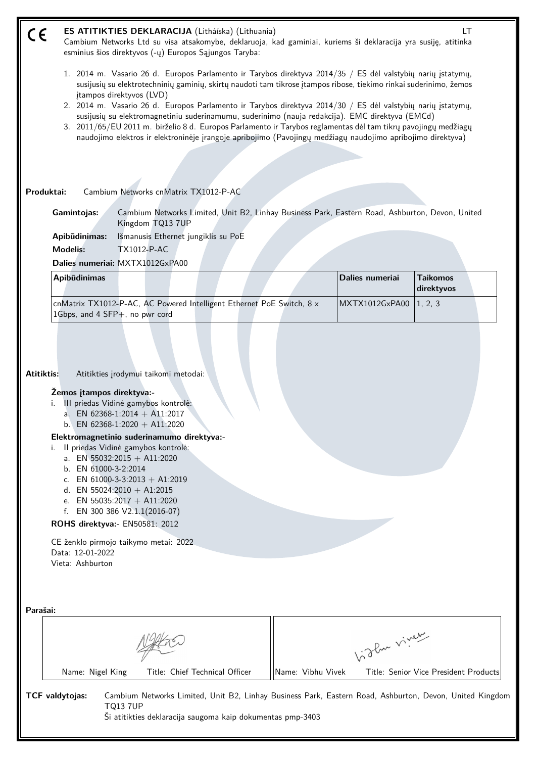| $\epsilon$ |                                                                                                                                                                                                                                |                                                                                                                                                                                                                                                                                                                                                      | ES ATITIKTIES DEKLARACIJA (Litháíska) (Lithuania)<br>Cambium Networks Ltd su visa atsakomybe, deklaruoja, kad gaminiai, kuriems ši deklaracija yra susiję, atitinka<br>esminius šios direktyvos (-ų) Europos Sąjungos Taryba:                                                                                                                                                                                                                                                                                                                                                                                                                                                        |                   |                 | LT                                                                                                      |
|------------|--------------------------------------------------------------------------------------------------------------------------------------------------------------------------------------------------------------------------------|------------------------------------------------------------------------------------------------------------------------------------------------------------------------------------------------------------------------------------------------------------------------------------------------------------------------------------------------------|--------------------------------------------------------------------------------------------------------------------------------------------------------------------------------------------------------------------------------------------------------------------------------------------------------------------------------------------------------------------------------------------------------------------------------------------------------------------------------------------------------------------------------------------------------------------------------------------------------------------------------------------------------------------------------------|-------------------|-----------------|---------------------------------------------------------------------------------------------------------|
|            |                                                                                                                                                                                                                                | įtampos direktyvos (LVD)                                                                                                                                                                                                                                                                                                                             | 1. 2014 m. Vasario 26 d. Europos Parlamento ir Tarybos direktyva 2014/35 / ES dėl valstybių narių įstatymų,<br>susijusių su elektrotechninių gaminių, skirtų naudoti tam tikrose įtampos ribose, tiekimo rinkai suderinimo, žemos<br>2. 2014 m. Vasario 26 d. Europos Parlamento ir Tarybos direktyva 2014/30 / ES dėl valstybių narių įstatymų,<br>susijusių su elektromagnetiniu suderinamumu, suderinimo (nauja redakcija). EMC direktyva (EMCd)<br>3. 2011/65/EU 2011 m. birželio 8 d. Europos Parlamento ir Tarybos reglamentas dėl tam tikrų pavojingų medžiagų<br>naudojimo elektros ir elektroninėje įrangoje apribojimo (Pavojingų medžiagų naudojimo apribojimo direktyva) |                   |                 |                                                                                                         |
|            | Produktai:                                                                                                                                                                                                                     |                                                                                                                                                                                                                                                                                                                                                      | Cambium Networks cnMatrix TX1012-P-AC                                                                                                                                                                                                                                                                                                                                                                                                                                                                                                                                                                                                                                                |                   |                 |                                                                                                         |
|            | Gamintojas:                                                                                                                                                                                                                    | Kingdom TQ13 7UP                                                                                                                                                                                                                                                                                                                                     | Cambium Networks Limited, Unit B2, Linhay Business Park, Eastern Road, Ashburton, Devon, United                                                                                                                                                                                                                                                                                                                                                                                                                                                                                                                                                                                      |                   |                 |                                                                                                         |
|            | Apibūdinimas:                                                                                                                                                                                                                  |                                                                                                                                                                                                                                                                                                                                                      | Išmanusis Ethernet jungiklis su PoE                                                                                                                                                                                                                                                                                                                                                                                                                                                                                                                                                                                                                                                  |                   |                 |                                                                                                         |
|            | <b>Modelis:</b>                                                                                                                                                                                                                | <b>TX1012-P-AC</b>                                                                                                                                                                                                                                                                                                                                   |                                                                                                                                                                                                                                                                                                                                                                                                                                                                                                                                                                                                                                                                                      |                   |                 |                                                                                                         |
|            |                                                                                                                                                                                                                                | Dalies numeriai: MXTX1012GxPA00                                                                                                                                                                                                                                                                                                                      |                                                                                                                                                                                                                                                                                                                                                                                                                                                                                                                                                                                                                                                                                      |                   |                 |                                                                                                         |
|            | Apibūdinimas                                                                                                                                                                                                                   |                                                                                                                                                                                                                                                                                                                                                      |                                                                                                                                                                                                                                                                                                                                                                                                                                                                                                                                                                                                                                                                                      |                   | Dalies numeriai | <b>Taikomos</b><br>direktyvos                                                                           |
|            | 1Gbps, and 4 SFP+, no pwr cord                                                                                                                                                                                                 |                                                                                                                                                                                                                                                                                                                                                      | cnMatrix TX1012-P-AC, AC Powered Intelligent Ethernet PoE Switch, 8 x                                                                                                                                                                                                                                                                                                                                                                                                                                                                                                                                                                                                                |                   | MXTX1012GxPA00  | 1, 2, 3                                                                                                 |
| Atitiktis: | Žemos įtampos direktyva:-<br>i.<br>Elektromagnetinio suderinamumo direktyva:-<br>i.<br>b. EN 61000-3-2:2014<br>ROHS direktyva:- EN50581: 2012<br>CE ženklo pirmojo taikymo metai: 2022<br>Data: 12-01-2022<br>Vieta: Ashburton | Atitikties įrodymui taikomi metodai:<br>III priedas Vidinė gamybos kontrolė:<br>a. EN 62368-1:2014 + A11:2017<br>b. EN 62368-1:2020 + A11:2020<br>Il priedas Vidinė gamybos kontrolė:<br>a. EN 55032:2015 + A11:2020<br>c. EN 61000-3-3:2013 + A1:2019<br>d. EN 55024:2010 + A1:2015<br>e. EN 55035:2017 + A11:2020<br>f. EN 300 386 V2.1.1(2016-07) |                                                                                                                                                                                                                                                                                                                                                                                                                                                                                                                                                                                                                                                                                      |                   |                 |                                                                                                         |
| Parašai:   |                                                                                                                                                                                                                                |                                                                                                                                                                                                                                                                                                                                                      |                                                                                                                                                                                                                                                                                                                                                                                                                                                                                                                                                                                                                                                                                      |                   |                 |                                                                                                         |
|            |                                                                                                                                                                                                                                |                                                                                                                                                                                                                                                                                                                                                      |                                                                                                                                                                                                                                                                                                                                                                                                                                                                                                                                                                                                                                                                                      |                   | Like viney      |                                                                                                         |
|            | Name: Nigel King                                                                                                                                                                                                               |                                                                                                                                                                                                                                                                                                                                                      | Title: Chief Technical Officer                                                                                                                                                                                                                                                                                                                                                                                                                                                                                                                                                                                                                                                       | Name: Vibhu Vivek |                 | Title: Senior Vice President Products                                                                   |
|            | TCF valdytojas:                                                                                                                                                                                                                | <b>TQ13 7UP</b>                                                                                                                                                                                                                                                                                                                                      | Ši atitikties deklaracija saugoma kaip dokumentas pmp-3403                                                                                                                                                                                                                                                                                                                                                                                                                                                                                                                                                                                                                           |                   |                 | Cambium Networks Limited, Unit B2, Linhay Business Park, Eastern Road, Ashburton, Devon, United Kingdom |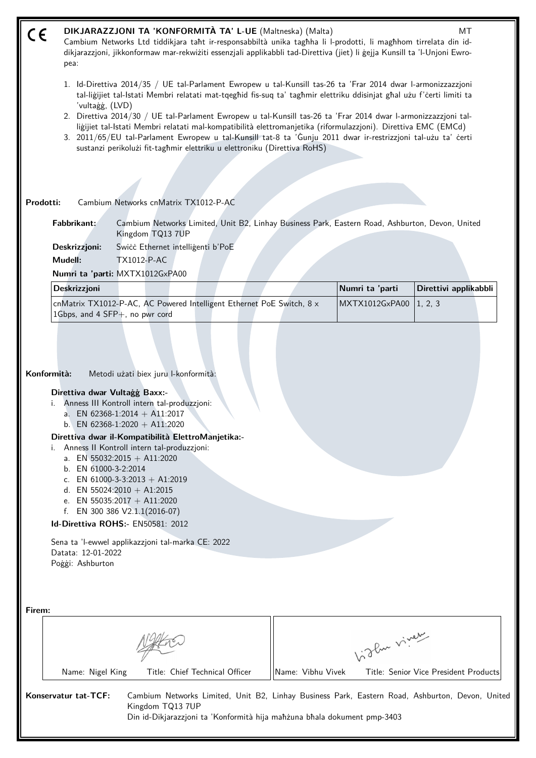| CE     | DIKJARAZZJONI TA 'KONFORMITÀ TA' L-UE (Maltneska) (Malta)<br>MT<br>Cambium Networks Ltd tiddikjara taht ir-responsabbiltà unika taghha li l-prodotti, li maghhom tirrelata din id-<br>dikjarazzjoni, jikkonformaw mar-rekwiżiti essenzjali applikabbli tad-Direttiva (jiet) li gejja Kunsill ta 'l-Unjoni Ewro-<br>pea:                                                                                                                          |                                                                                                                                                                                                                                                                                                                                                                                                                                                                                                                      |  |                   |                 |                                                                                                 |  |  |  |
|--------|--------------------------------------------------------------------------------------------------------------------------------------------------------------------------------------------------------------------------------------------------------------------------------------------------------------------------------------------------------------------------------------------------------------------------------------------------|----------------------------------------------------------------------------------------------------------------------------------------------------------------------------------------------------------------------------------------------------------------------------------------------------------------------------------------------------------------------------------------------------------------------------------------------------------------------------------------------------------------------|--|-------------------|-----------------|-------------------------------------------------------------------------------------------------|--|--|--|
|        | 1. Id-Direttiva 2014/35 / UE tal-Parlament Ewropew u tal-Kunsill tas-26 ta 'Frar 2014 dwar l-armonizzazzjoni<br>tal-liğijiet tal-Istati Membri relatati mat-tqeghid fis-suq ta' taghmir elettriku ddisinjat ghal użu f'certi limiti ta                                                                                                                                                                                                           |                                                                                                                                                                                                                                                                                                                                                                                                                                                                                                                      |  |                   |                 |                                                                                                 |  |  |  |
|        | 'vultaġġ, (LVD)<br>2. Direttiva 2014/30 / UE tal-Parlament Ewropew u tal-Kunsill tas-26 ta 'Frar 2014 dwar l-armonizzazzjoni tal-<br>liğijiet tal-Istati Membri relatati mal-kompatibilità elettromanjetika (riformulazzjoni). Direttiva EMC (EMCd)<br>3. 2011/65/EU tal-Parlament Ewropew u tal-Kunsill tat-8 ta 'Gunju 2011 dwar ir-restrizzjoni tal-użu ta' certi<br>sustanzi perikolużi fit-taghmir elettriku u elettroniku (Direttiva RoHS) |                                                                                                                                                                                                                                                                                                                                                                                                                                                                                                                      |  |                   |                 |                                                                                                 |  |  |  |
|        |                                                                                                                                                                                                                                                                                                                                                                                                                                                  |                                                                                                                                                                                                                                                                                                                                                                                                                                                                                                                      |  |                   |                 |                                                                                                 |  |  |  |
|        | Prodotti:                                                                                                                                                                                                                                                                                                                                                                                                                                        | Cambium Networks cnMatrix TX1012-P-AC                                                                                                                                                                                                                                                                                                                                                                                                                                                                                |  |                   |                 |                                                                                                 |  |  |  |
|        | Fabbrikant:                                                                                                                                                                                                                                                                                                                                                                                                                                      | Cambium Networks Limited, Unit B2, Linhay Business Park, Eastern Road, Ashburton, Devon, United<br>Kingdom TQ13 7UP                                                                                                                                                                                                                                                                                                                                                                                                  |  |                   |                 |                                                                                                 |  |  |  |
|        | Deskrizzjoni:                                                                                                                                                                                                                                                                                                                                                                                                                                    | Swicc Ethernet intelligenti b'PoE                                                                                                                                                                                                                                                                                                                                                                                                                                                                                    |  |                   |                 |                                                                                                 |  |  |  |
|        | Mudell:                                                                                                                                                                                                                                                                                                                                                                                                                                          | <b>TX1012-P-AC</b>                                                                                                                                                                                                                                                                                                                                                                                                                                                                                                   |  |                   |                 |                                                                                                 |  |  |  |
|        |                                                                                                                                                                                                                                                                                                                                                                                                                                                  | Numri ta 'parti: MXTX1012GxPA00                                                                                                                                                                                                                                                                                                                                                                                                                                                                                      |  |                   |                 |                                                                                                 |  |  |  |
|        | Deskrizzjoni                                                                                                                                                                                                                                                                                                                                                                                                                                     |                                                                                                                                                                                                                                                                                                                                                                                                                                                                                                                      |  |                   | Numri ta 'parti | Direttivi applikabbli                                                                           |  |  |  |
|        |                                                                                                                                                                                                                                                                                                                                                                                                                                                  | cnMatrix TX1012-P-AC, AC Powered Intelligent Ethernet PoE Switch, 8 x<br>1Gbps, and 4 SFP+, no pwr cord                                                                                                                                                                                                                                                                                                                                                                                                              |  |                   | MXTX1012GxPA00  | 1, 2, 3                                                                                         |  |  |  |
|        | Konformità:<br>Direttiva dwar Vultagg Baxx:-<br>b. EN 61000-3-2:2014<br>Datata: 12-01-2022<br>Poggi: Ashburton                                                                                                                                                                                                                                                                                                                                   | Metodi użati biex juru l-konformità:<br>Anness III Kontroll intern tal-produzzjoni:<br>a. EN 62368-1:2014 + A11:2017<br>b. EN 62368-1:2020 + A11:2020<br>Direttiva dwar il-Kompatibilità ElettroManjetika:-<br>Anness II Kontroll intern tal-produzzjoni:<br>a. EN 55032:2015 + A11:2020<br>c. EN 61000-3-3:2013 + A1:2019<br>d. EN 55024:2010 + A1:2015<br>e. EN 55035:2017 + A11:2020<br>f. EN 300 386 $V2.1.1(2016-07)$<br>Id-Direttiva ROHS:- EN50581: 2012<br>Sena ta 'l-ewwel applikazzjoni tal-marka CE: 2022 |  |                   |                 |                                                                                                 |  |  |  |
| Firem: |                                                                                                                                                                                                                                                                                                                                                                                                                                                  |                                                                                                                                                                                                                                                                                                                                                                                                                                                                                                                      |  |                   | Like viney      |                                                                                                 |  |  |  |
|        | Name: Nigel King                                                                                                                                                                                                                                                                                                                                                                                                                                 | Title: Chief Technical Officer                                                                                                                                                                                                                                                                                                                                                                                                                                                                                       |  | Name: Vibhu Vivek |                 | Title: Senior Vice President Products                                                           |  |  |  |
|        | Konservatur tat-TCF:                                                                                                                                                                                                                                                                                                                                                                                                                             | Kingdom TQ13 7UP<br>Din id-Dikjarazzjoni ta 'Konformità hija mahżuna bhala dokument pmp-3403                                                                                                                                                                                                                                                                                                                                                                                                                         |  |                   |                 | Cambium Networks Limited, Unit B2, Linhay Business Park, Eastern Road, Ashburton, Devon, United |  |  |  |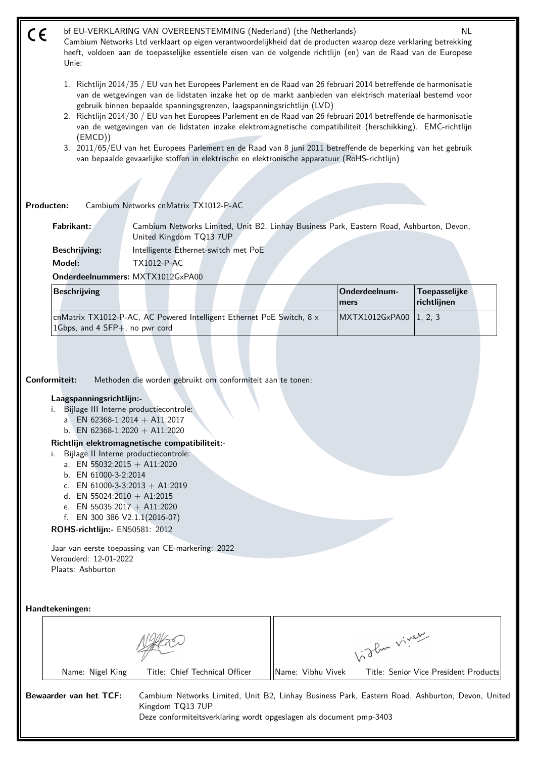bf EU-VERKLARING VAN OVEREENSTEMMING (Nederland) (the Netherlands) NL (  $\epsilon$ Cambium Networks Ltd verklaart op eigen verantwoordelijkheid dat de producten waarop deze verklaring betrekking heeft, voldoen aan de toepasselijke essentiële eisen van de volgende richtlijn (en) van de Raad van de Europese Unie:

- 1. Richtlijn 2014/35 / EU van het Europees Parlement en de Raad van 26 februari 2014 betreffende de harmonisatie van de wetgevingen van de lidstaten inzake het op de markt aanbieden van elektrisch materiaal bestemd voor gebruik binnen bepaalde spanningsgrenzen, laagspanningsrichtlijn (LVD)
- 2. Richtlijn 2014/30 / EU van het Europees Parlement en de Raad van 26 februari 2014 betreffende de harmonisatie van de wetgevingen van de lidstaten inzake elektromagnetische compatibiliteit (herschikking). EMC-richtlijn (EMCD))
- 3. 2011/65/EU van het Europees Parlement en de Raad van 8 juni 2011 betreffende de beperking van het gebruik van bepaalde gevaarlijke stoffen in elektrische en elektronische apparatuur (RoHS-richtlijn)

**Producten:** Cambium Networks cnMatrix TX1012-P-AC

**Fabrikant:** Cambium Networks Limited, Unit B2, Linhay Business Park, Eastern Road, Ashburton, Devon, United Kingdom TQ13 7UP

**Beschrijving:** Intelligente Ethernet-switch met PoE **Model:** TX1012-P-AC

**Onderdeelnummers:** MXTX1012GxPA00

| <b>Beschrijving</b>                                                                                         |  | Onderdeelnum-<br><b>Imers</b> | Toepasselijke<br><i>richtliinen</i> |
|-------------------------------------------------------------------------------------------------------------|--|-------------------------------|-------------------------------------|
| cnMatrix TX1012-P-AC, AC Powered Intelligent Ethernet PoE Switch, 8 x<br>1Gbps, and 4 SFP $+$ , no pwr cord |  | MXTX1012GxPA00   1, 2, 3      |                                     |

**Conformiteit:** Methoden die worden gebruikt om conformiteit aan te tonen:

#### **Laagspanningsrichtlijn:-**

- i. Bijlage III Interne productiecontrole:
	- a. EN 62368-1:2014 + A11:2017
	- b. EN 62368-1:2020 + A11:2020

## **Richtlijn elektromagnetische compatibiliteit:-**

- i. Bijlage II Interne productiecontrole:
	- a. EN 55032:2015 + A11:2020
	- b. EN 61000-3-2:2014
	- c. EN  $61000-3-3:2013 + A1:2019$
	- d. EN 55024:2010 + A1:2015
	- e. EN 55035:2017 + A11:2020
	- f. EN 300 386 V2.1.1(2016-07)

**ROHS-richtlijn:-** EN50581: 2012

Jaar van eerste toepassing van CE-markering: 2022 Verouderd: 12-01-2022 Plaats: Ashburton

**Handtekeningen:**

|                        |                  |                                                                                         |                   | oflue viver                                                                                     |
|------------------------|------------------|-----------------------------------------------------------------------------------------|-------------------|-------------------------------------------------------------------------------------------------|
|                        | Name: Nigel King | Title: Chief Technical Officer                                                          | Name: Vibhu Vivek | Title: Senior Vice President Products                                                           |
| Bewaarder van het TCF: |                  | Kingdom TQ13 7UP<br>Deze conformiteitsverklaring wordt opgeslagen als document pmp-3403 |                   | Cambium Networks Limited, Unit B2, Linhay Business Park, Eastern Road, Ashburton, Devon, United |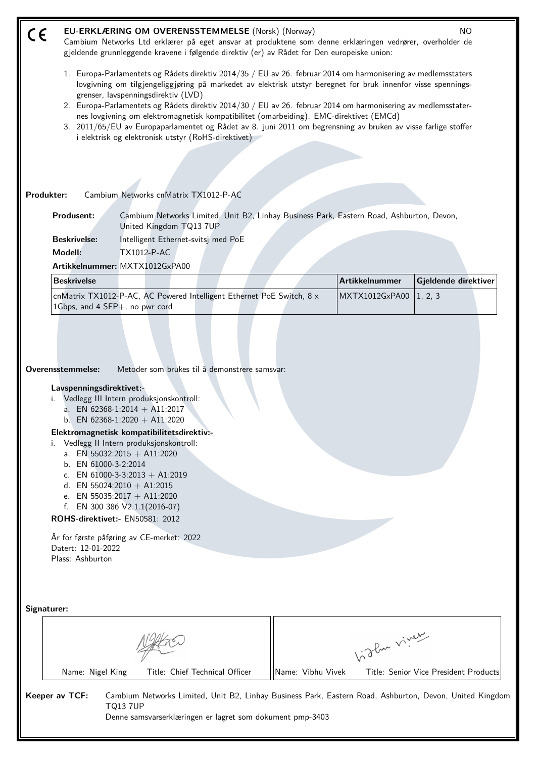| CE                                                                                                                                                                                                                                                                                                                                                                                                                                                                                                                                                                                                                                                       | EU-ERKLÆRING OM OVERENSSTEMMELSE (Norsk) (Norway)<br>NO.<br>Cambium Networks Ltd erklærer på eget ansvar at produktene som denne erklæringen vedrører, overholder de<br>gjeldende grunnleggende kravene i følgende direktiv (er) av Rådet for Den europeiske union: |                   |                       |                                       |  |  |  |
|----------------------------------------------------------------------------------------------------------------------------------------------------------------------------------------------------------------------------------------------------------------------------------------------------------------------------------------------------------------------------------------------------------------------------------------------------------------------------------------------------------------------------------------------------------------------------------------------------------------------------------------------------------|---------------------------------------------------------------------------------------------------------------------------------------------------------------------------------------------------------------------------------------------------------------------|-------------------|-----------------------|---------------------------------------|--|--|--|
| 1. Europa-Parlamentets og Rådets direktiv 2014/35 / EU av 26. februar 2014 om harmonisering av medlemsstaters<br>lovgivning om tilgjengeliggjøring på markedet av elektrisk utstyr beregnet for bruk innenfor visse spennings-<br>grenser, lavspenningsdirektiv (LVD)<br>2. Europa-Parlamentets og Rådets direktiv 2014/30 / EU av 26. februar 2014 om harmonisering av medlemsstater-<br>nes lovgivning om elektromagnetisk kompatibilitet (omarbeiding). EMC-direktivet (EMCd)<br>3. 2011/65/EU av Europaparlamentet og Rådet av 8. juni 2011 om begrensning av bruken av visse farlige stoffer<br>i elektrisk og elektronisk utstyr (RoHS-direktivet) |                                                                                                                                                                                                                                                                     |                   |                       |                                       |  |  |  |
|                                                                                                                                                                                                                                                                                                                                                                                                                                                                                                                                                                                                                                                          |                                                                                                                                                                                                                                                                     |                   |                       |                                       |  |  |  |
|                                                                                                                                                                                                                                                                                                                                                                                                                                                                                                                                                                                                                                                          |                                                                                                                                                                                                                                                                     |                   |                       |                                       |  |  |  |
| Produkter:                                                                                                                                                                                                                                                                                                                                                                                                                                                                                                                                                                                                                                               | Cambium Networks cnMatrix TX1012-P-AC                                                                                                                                                                                                                               |                   |                       |                                       |  |  |  |
| <b>Produsent:</b>                                                                                                                                                                                                                                                                                                                                                                                                                                                                                                                                                                                                                                        | Cambium Networks Limited, Unit B2, Linhay Business Park, Eastern Road, Ashburton, Devon,<br>United Kingdom TQ13 7UP                                                                                                                                                 |                   |                       |                                       |  |  |  |
| <b>Beskrivelse:</b>                                                                                                                                                                                                                                                                                                                                                                                                                                                                                                                                                                                                                                      | Intelligent Ethernet-svitsj med PoE                                                                                                                                                                                                                                 |                   |                       |                                       |  |  |  |
| Modell:                                                                                                                                                                                                                                                                                                                                                                                                                                                                                                                                                                                                                                                  | <b>TX1012-P-AC</b>                                                                                                                                                                                                                                                  |                   |                       |                                       |  |  |  |
|                                                                                                                                                                                                                                                                                                                                                                                                                                                                                                                                                                                                                                                          | Artikkelnummer: MXTX1012GxPA00                                                                                                                                                                                                                                      |                   |                       |                                       |  |  |  |
| <b>Beskrivelse</b>                                                                                                                                                                                                                                                                                                                                                                                                                                                                                                                                                                                                                                       |                                                                                                                                                                                                                                                                     |                   | <b>Artikkelnummer</b> | Gjeldende direktiver                  |  |  |  |
| 1Gbps, and 4 SFP+, no pwr cord                                                                                                                                                                                                                                                                                                                                                                                                                                                                                                                                                                                                                           | cnMatrix TX1012-P-AC, AC Powered Intelligent Ethernet PoE Switch, 8 x                                                                                                                                                                                               |                   | MXTX1012GxPA00        | 1, 2, 3                               |  |  |  |
| Overensstemmelse:<br>Metoder som brukes til å demonstrere samsvar:<br>Lavspenningsdirektivet:-<br>i. Vedlegg III Intern produksjonskontroll:<br>a. EN 62368-1:2014 + A11:2017<br>b. EN 62368-1:2020 + A11:2020<br>Elektromagnetisk kompatibilitetsdirektiv:-<br>Vedlegg II Intern produksjonskontroll:<br>a. EN 55032:2015 + A11:2020<br>b. EN 61000-3-2:2014<br>c. EN 61000-3-3:2013 + A1:2019<br>d. EN 55024:2010 + A1:2015<br>e. EN 55035:2017 + A11:2020<br>f. EN 300 386 $V2.1.1(2016-07)$<br>ROHS-direktivet:- EN50581: 2012                                                                                                                       |                                                                                                                                                                                                                                                                     |                   |                       |                                       |  |  |  |
| Datert: 12-01-2022<br>Plass: Ashburton                                                                                                                                                                                                                                                                                                                                                                                                                                                                                                                                                                                                                   | År for første påføring av CE-merket: 2022                                                                                                                                                                                                                           |                   |                       |                                       |  |  |  |
| Signaturer:                                                                                                                                                                                                                                                                                                                                                                                                                                                                                                                                                                                                                                              |                                                                                                                                                                                                                                                                     |                   |                       |                                       |  |  |  |
|                                                                                                                                                                                                                                                                                                                                                                                                                                                                                                                                                                                                                                                          |                                                                                                                                                                                                                                                                     |                   | Vigla viney           |                                       |  |  |  |
| Name: Nigel King                                                                                                                                                                                                                                                                                                                                                                                                                                                                                                                                                                                                                                         | Title: Chief Technical Officer                                                                                                                                                                                                                                      | Name: Vibhu Vivek |                       | Title: Senior Vice President Products |  |  |  |
| Keeper av TCF:                                                                                                                                                                                                                                                                                                                                                                                                                                                                                                                                                                                                                                           | Cambium Networks Limited, Unit B2, Linhay Business Park, Eastern Road, Ashburton, Devon, United Kingdom<br><b>TQ137UP</b><br>Denne samsvarserklæringen er lagret som dokument pmp-3403                                                                              |                   |                       |                                       |  |  |  |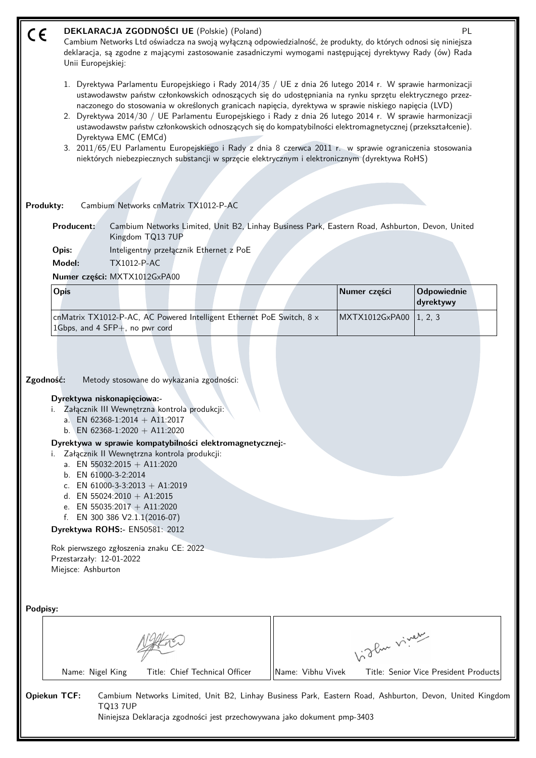| CE       | Unii Europejskiej:                                                                                                                                                                                                                                                                                                                                                                                                                                                                                                                                                                                                                                                                                                                                                                                |                                                                                                                                                                                       | DEKLARACJA ZGODNOŚCI UE (Polskie) (Poland)<br>Cambium Networks Ltd oświadcza na swoją wyłączną odpowiedzialność, że produkty, do których odnosi się niniejsza<br>deklaracja, są zgodne z mającymi zastosowanie zasadniczymi wymogami następującej dyrektywy Rady (ów) Rada |  |  |                   |                | PL                                                                                                      |  |  |
|----------|---------------------------------------------------------------------------------------------------------------------------------------------------------------------------------------------------------------------------------------------------------------------------------------------------------------------------------------------------------------------------------------------------------------------------------------------------------------------------------------------------------------------------------------------------------------------------------------------------------------------------------------------------------------------------------------------------------------------------------------------------------------------------------------------------|---------------------------------------------------------------------------------------------------------------------------------------------------------------------------------------|----------------------------------------------------------------------------------------------------------------------------------------------------------------------------------------------------------------------------------------------------------------------------|--|--|-------------------|----------------|---------------------------------------------------------------------------------------------------------|--|--|
|          | 1. Dyrektywa Parlamentu Europejskiego i Rady 2014/35 / UE z dnia 26 lutego 2014 r. W sprawie harmonizacji<br>ustawodawstw państw członkowskich odnoszących się do udostępniania na rynku sprzętu elektrycznego przez-<br>naczonego do stosowania w określonych granicach napięcia, dyrektywa w sprawie niskiego napięcia (LVD)<br>2. Dyrektywa 2014/30 / UE Parlamentu Europejskiego i Rady z dnia 26 lutego 2014 r. W sprawie harmonizacji<br>ustawodawstw państw członkowskich odnoszących się do kompatybilności elektromagnetycznej (przekształcenie).<br>Dyrektywa EMC (EMCd)<br>3. 2011/65/EU Parlamentu Europejskiego i Rady z dnia 8 czerwca 2011 r. w sprawie ograniczenia stosowania<br>niektórych niebezpiecznych substancji w sprzęcie elektrycznym i elektronicznym (dyrektywa RoHS) |                                                                                                                                                                                       |                                                                                                                                                                                                                                                                            |  |  |                   |                |                                                                                                         |  |  |
|          | Produkty:                                                                                                                                                                                                                                                                                                                                                                                                                                                                                                                                                                                                                                                                                                                                                                                         |                                                                                                                                                                                       | Cambium Networks cnMatrix TX1012-P-AC                                                                                                                                                                                                                                      |  |  |                   |                |                                                                                                         |  |  |
|          | Producent:                                                                                                                                                                                                                                                                                                                                                                                                                                                                                                                                                                                                                                                                                                                                                                                        | Kingdom TQ13 7UP                                                                                                                                                                      | Cambium Networks Limited, Unit B2, Linhay Business Park, Eastern Road, Ashburton, Devon, United                                                                                                                                                                            |  |  |                   |                |                                                                                                         |  |  |
|          | Opis:                                                                                                                                                                                                                                                                                                                                                                                                                                                                                                                                                                                                                                                                                                                                                                                             |                                                                                                                                                                                       | Inteligentny przełącznik Ethernet z PoE                                                                                                                                                                                                                                    |  |  |                   |                |                                                                                                         |  |  |
|          | Model:                                                                                                                                                                                                                                                                                                                                                                                                                                                                                                                                                                                                                                                                                                                                                                                            | <b>TX1012-P-AC</b>                                                                                                                                                                    |                                                                                                                                                                                                                                                                            |  |  |                   |                |                                                                                                         |  |  |
|          |                                                                                                                                                                                                                                                                                                                                                                                                                                                                                                                                                                                                                                                                                                                                                                                                   | Numer części: MXTX1012GxPA00                                                                                                                                                          |                                                                                                                                                                                                                                                                            |  |  |                   |                |                                                                                                         |  |  |
|          | <b>Opis</b>                                                                                                                                                                                                                                                                                                                                                                                                                                                                                                                                                                                                                                                                                                                                                                                       |                                                                                                                                                                                       |                                                                                                                                                                                                                                                                            |  |  |                   | Numer części   | Odpowiednie<br>dyrektywy                                                                                |  |  |
|          |                                                                                                                                                                                                                                                                                                                                                                                                                                                                                                                                                                                                                                                                                                                                                                                                   | 1Gbps, and 4 SFP+, no pwr cord                                                                                                                                                        | cnMatrix TX1012-P-AC, AC Powered Intelligent Ethernet PoE Switch, 8 x                                                                                                                                                                                                      |  |  |                   | MXTX1012GxPA00 | 1, 2, 3                                                                                                 |  |  |
|          | Zgodność:                                                                                                                                                                                                                                                                                                                                                                                                                                                                                                                                                                                                                                                                                                                                                                                         |                                                                                                                                                                                       | Metody stosowane do wykazania zgodności:                                                                                                                                                                                                                                   |  |  |                   |                |                                                                                                         |  |  |
|          |                                                                                                                                                                                                                                                                                                                                                                                                                                                                                                                                                                                                                                                                                                                                                                                                   | Dyrektywa niskonapięciowa:-<br>a. EN 62368-1:2014 + A11:2017<br>b. EN 62368-1:2020 + A11:2020                                                                                         | i. Załącznik III Wewnętrzna kontrola produkcji:                                                                                                                                                                                                                            |  |  |                   |                |                                                                                                         |  |  |
|          |                                                                                                                                                                                                                                                                                                                                                                                                                                                                                                                                                                                                                                                                                                                                                                                                   | a. EN 55032:2015 + A11:2020<br>b. EN 61000-3-2:2014<br>c. EN 61000-3-3:2013 + A1:2019<br>d. EN 55024:2010 + A1:2015<br>e. EN 55035:2017 + A11:2020<br>f. EN 300 386 $V2.1.1(2016-07)$ | Dyrektywa w sprawie kompatybilności elektromagnetycznej:-<br>Załącznik II Wewnętrzna kontrola produkcji:                                                                                                                                                                   |  |  |                   |                |                                                                                                         |  |  |
|          |                                                                                                                                                                                                                                                                                                                                                                                                                                                                                                                                                                                                                                                                                                                                                                                                   | Dyrektywa ROHS:- EN50581: 2012                                                                                                                                                        |                                                                                                                                                                                                                                                                            |  |  |                   |                |                                                                                                         |  |  |
|          | Przestarzały: 12-01-2022<br>Miejsce: Ashburton                                                                                                                                                                                                                                                                                                                                                                                                                                                                                                                                                                                                                                                                                                                                                    | Rok pierwszego zgłoszenia znaku CE: 2022                                                                                                                                              |                                                                                                                                                                                                                                                                            |  |  |                   |                |                                                                                                         |  |  |
| Podpisy: |                                                                                                                                                                                                                                                                                                                                                                                                                                                                                                                                                                                                                                                                                                                                                                                                   |                                                                                                                                                                                       |                                                                                                                                                                                                                                                                            |  |  |                   |                |                                                                                                         |  |  |
|          |                                                                                                                                                                                                                                                                                                                                                                                                                                                                                                                                                                                                                                                                                                                                                                                                   |                                                                                                                                                                                       |                                                                                                                                                                                                                                                                            |  |  |                   | birthe vivey   |                                                                                                         |  |  |
|          | Name: Nigel King                                                                                                                                                                                                                                                                                                                                                                                                                                                                                                                                                                                                                                                                                                                                                                                  |                                                                                                                                                                                       | Title: Chief Technical Officer                                                                                                                                                                                                                                             |  |  | Name: Vibhu Vivek |                | Title: Senior Vice President Products                                                                   |  |  |
|          | Opiekun TCF:                                                                                                                                                                                                                                                                                                                                                                                                                                                                                                                                                                                                                                                                                                                                                                                      | <b>TQ137UP</b>                                                                                                                                                                        | Niniejsza Deklaracja zgodności jest przechowywana jako dokument pmp-3403                                                                                                                                                                                                   |  |  |                   |                | Cambium Networks Limited, Unit B2, Linhay Business Park, Eastern Road, Ashburton, Devon, United Kingdom |  |  |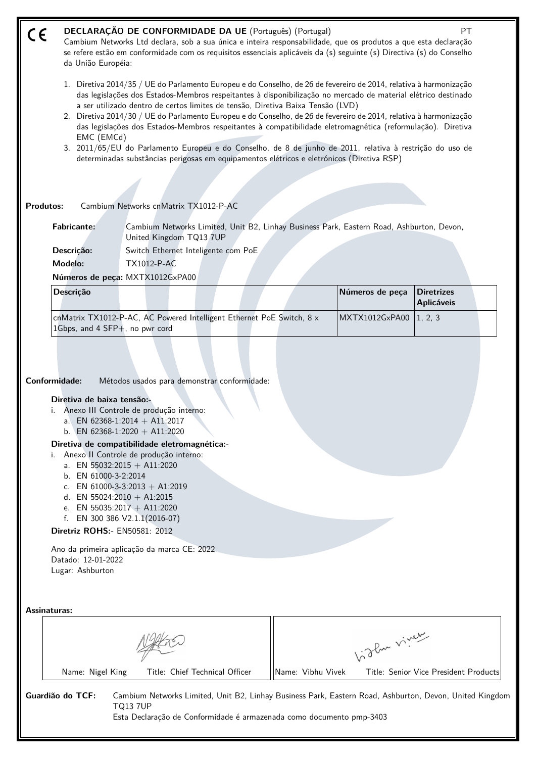#### **DECLARAÇÃO DE CONFORMIDADE DA UE** (Português) (Portugal) PT  $\epsilon$

Cambium Networks Ltd declara, sob a sua única e inteira responsabilidade, que os produtos a que esta declaração se refere estão em conformidade com os requisitos essenciais aplicáveis da (s) seguinte (s) Directiva (s) do Conselho da União Européia:

- 1. Diretiva 2014/35 / UE do Parlamento Europeu e do Conselho, de 26 de fevereiro de 2014, relativa à harmonização das legislações dos Estados-Membros respeitantes à disponibilização no mercado de material elétrico destinado a ser utilizado dentro de certos limites de tensão, Diretiva Baixa Tensão (LVD)
- 2. Diretiva 2014/30 / UE do Parlamento Europeu e do Conselho, de 26 de fevereiro de 2014, relativa à harmonização das legislações dos Estados-Membros respeitantes à compatibilidade eletromagnética (reformulação). Diretiva EMC (EMCd)
- 3. 2011/65/EU do Parlamento Europeu e do Conselho, de 8 de junho de 2011, relativa à restrição do uso de determinadas substâncias perigosas em equipamentos elétricos e eletrónicos (Diretiva RSP)

**Produtos:** Cambium Networks cnMatrix TX1012-P-AC

**Fabricante:** Cambium Networks Limited, Unit B2, Linhay Business Park, Eastern Road, Ashburton, Devon, United Kingdom TQ13 7UP

**Descrição:** Switch Ethernet Inteligente com PoE **Modelo:** TX1012-P-AC

**Números de peça:** MXTX1012GxPA00

| <b>Descricão</b>                                                                                                  |  | Números de peça          | Diretrizes<br><b>Aplicáveis</b> |  |
|-------------------------------------------------------------------------------------------------------------------|--|--------------------------|---------------------------------|--|
| cnMatrix TX1012-P-AC, AC Powered Intelligent Ethernet PoE Switch, $8 \times$<br>1Gbps, and 4 $SFP+$ , no pwr cord |  | MXTX1012GxPA00   1, 2, 3 |                                 |  |

**Conformidade:** Métodos usados para demonstrar conformidade:

### **Diretiva de baixa tensão:-**

- i. Anexo III Controle de produção interno:
	- a. EN 62368-1:2014 + A11:2017
	- b. EN 62368-1:2020 + A11:2020

#### **Diretiva de compatibilidade eletromagnética:-**

- i. Anexo II Controle de produção interno:
	- a. EN  $55032:2015 + A11:2020$
	- b. EN 61000-3-2:2014
	- c. EN 61000-3-3:2013 + A1:2019
	- d. EN 55024:2010 + A1:2015
	- e. EN 55035:2017 + A11:2020
	- f. EN 300 386 V2.1.1(2016-07)
- **Diretriz ROHS:-** EN50581: 2012

Ano da primeira aplicação da marca CE: 2022 Datado: 12-01-2022 Lugar: Ashburton

**Assinaturas:**

|                  |                                |                   | - Pur viver                                                                                             |
|------------------|--------------------------------|-------------------|---------------------------------------------------------------------------------------------------------|
| Name: Nigel King | Title: Chief Technical Officer | Name: Vibhu Vivek | Title: Senior Vice President Products                                                                   |
| Guardião do TCF: |                                |                   | Cambium Networks Limited, Unit B2, Linhay Business Park, Eastern Road, Ashburton, Devon, United Kingdom |

TQ13 7UP Esta Declaração de Conformidade é armazenada como documento pmp-3403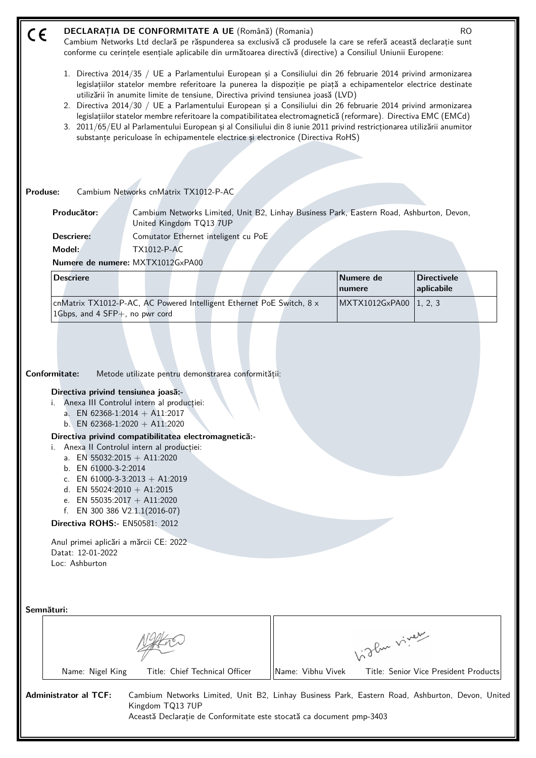| CE         |                                                                                                                                                                                                                                                                                                                                                                                       | <b>DECLARATIA DE CONFORMITATE A UE</b> (Română) (Romania)                                                                                                                                                                                                                                                                                                                                                                                                                                                                                                                                                                                                                                                                                                                 |                   |                     | <b>RO</b>                             |
|------------|---------------------------------------------------------------------------------------------------------------------------------------------------------------------------------------------------------------------------------------------------------------------------------------------------------------------------------------------------------------------------------------|---------------------------------------------------------------------------------------------------------------------------------------------------------------------------------------------------------------------------------------------------------------------------------------------------------------------------------------------------------------------------------------------------------------------------------------------------------------------------------------------------------------------------------------------------------------------------------------------------------------------------------------------------------------------------------------------------------------------------------------------------------------------------|-------------------|---------------------|---------------------------------------|
|            |                                                                                                                                                                                                                                                                                                                                                                                       | Cambium Networks Ltd declară pe răspunderea sa exclusivă că produsele la care se referă această declarație sunt<br>conforme cu cerințele esențiale aplicabile din următoarea directivă (directive) a Consiliul Uniunii Europene:                                                                                                                                                                                                                                                                                                                                                                                                                                                                                                                                          |                   |                     |                                       |
|            |                                                                                                                                                                                                                                                                                                                                                                                       | 1. Directiva 2014/35 / UE a Parlamentului European și a Consiliului din 26 februarie 2014 privind armonizarea<br>legislațiilor statelor membre referitoare la punerea la dispoziție pe piață a echipamentelor electrice destinate<br>utilizării în anumite limite de tensiune, Directiva privind tensiunea joasă (LVD)<br>2. Directiva 2014/30 / UE a Parlamentului European și a Consiliului din 26 februarie 2014 privind armonizarea<br>legislațiilor statelor membre referitoare la compatibilitatea electromagnetică (reformare). Directiva EMC (EMCd)<br>3. 2011/65/EU al Parlamentului European și al Consiliului din 8 iunie 2011 privind restricționarea utilizării anumitor<br>substanțe periculoase în echipamentele electrice și electronice (Directiva RoHS) |                   |                     |                                       |
| Produse:   |                                                                                                                                                                                                                                                                                                                                                                                       | Cambium Networks cnMatrix TX1012-P-AC                                                                                                                                                                                                                                                                                                                                                                                                                                                                                                                                                                                                                                                                                                                                     |                   |                     |                                       |
|            | Producător:                                                                                                                                                                                                                                                                                                                                                                           | Cambium Networks Limited, Unit B2, Linhay Business Park, Eastern Road, Ashburton, Devon,<br>United Kingdom TQ13 7UP                                                                                                                                                                                                                                                                                                                                                                                                                                                                                                                                                                                                                                                       |                   |                     |                                       |
|            | <b>Descriere:</b>                                                                                                                                                                                                                                                                                                                                                                     | Comutator Ethernet inteligent cu PoE                                                                                                                                                                                                                                                                                                                                                                                                                                                                                                                                                                                                                                                                                                                                      |                   |                     |                                       |
|            | Model:                                                                                                                                                                                                                                                                                                                                                                                | <b>TX1012-P-AC</b>                                                                                                                                                                                                                                                                                                                                                                                                                                                                                                                                                                                                                                                                                                                                                        |                   |                     |                                       |
|            |                                                                                                                                                                                                                                                                                                                                                                                       | Numere de numere: MXTX1012GxPA00                                                                                                                                                                                                                                                                                                                                                                                                                                                                                                                                                                                                                                                                                                                                          |                   |                     |                                       |
|            | <b>Descriere</b>                                                                                                                                                                                                                                                                                                                                                                      |                                                                                                                                                                                                                                                                                                                                                                                                                                                                                                                                                                                                                                                                                                                                                                           |                   | Numere de<br>numere | <b>Directivele</b><br>aplicabile      |
|            | 1Gbps, and 4 SFP+, no pwr cord                                                                                                                                                                                                                                                                                                                                                        | cnMatrix TX1012-P-AC, AC Powered Intelligent Ethernet PoE Switch, 8 x                                                                                                                                                                                                                                                                                                                                                                                                                                                                                                                                                                                                                                                                                                     |                   | MXTX1012GxPA00      | 1, 2, 3                               |
| i.         | Directiva privind tensiunea joasă:-<br>a. EN 62368-1:2014 + A11:2017<br>b. EN 62368-1:2020 + A11:2020<br>a. EN 55032:2015 + A11:2020<br>b. EN 61000-3-2:2014<br>C.<br>d. EN 55024:2010 + A1:2015<br>e. EN 55035:2017 + A11:2020<br>f. EN 300 386 $V2.1.1(2016-07)$<br>Directiva ROHS:- EN50581: 2012<br>Anul primei aplicări a mărcii CE: 2022<br>Datat: 12-01-2022<br>Loc: Ashburton | Metode utilizate pentru demonstrarea conformității:<br>Anexa III Controlul intern al producției:<br>Directiva privind compatibilitatea electromagnetică:-<br>Anexa II Controlul intern al producției:<br>EN 61000-3-3:2013 + A1:2019                                                                                                                                                                                                                                                                                                                                                                                                                                                                                                                                      |                   |                     |                                       |
| Semnături: |                                                                                                                                                                                                                                                                                                                                                                                       |                                                                                                                                                                                                                                                                                                                                                                                                                                                                                                                                                                                                                                                                                                                                                                           |                   |                     |                                       |
|            |                                                                                                                                                                                                                                                                                                                                                                                       |                                                                                                                                                                                                                                                                                                                                                                                                                                                                                                                                                                                                                                                                                                                                                                           |                   | birthe viver        |                                       |
|            | Name: Nigel King                                                                                                                                                                                                                                                                                                                                                                      | Title: Chief Technical Officer                                                                                                                                                                                                                                                                                                                                                                                                                                                                                                                                                                                                                                                                                                                                            | Name: Vibhu Vivek |                     | Title: Senior Vice President Products |
|            | <b>Administrator al TCF:</b>                                                                                                                                                                                                                                                                                                                                                          | Cambium Networks Limited, Unit B2, Linhay Business Park, Eastern Road, Ashburton, Devon, United<br>Kingdom TQ13 7UP<br>Această Declarație de Conformitate este stocată ca document pmp-3403                                                                                                                                                                                                                                                                                                                                                                                                                                                                                                                                                                               |                   |                     |                                       |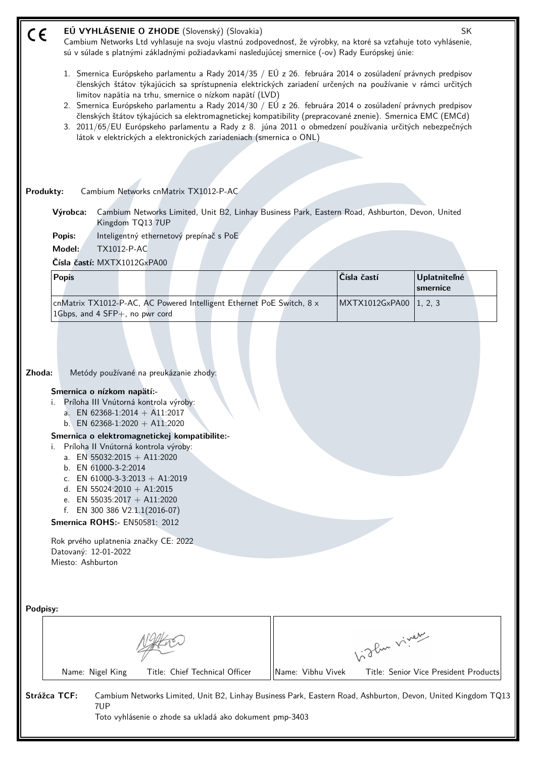| C€        |                                                                               |                                                    |                                                                                                                                                                                                                                                                                                                                                                                                                                                                | EÚ VYHLÁSENIE O ZHODE (Slovenský) (Slovakia)                                                                                                                                                                                                                                        |                   |             |                | SK                                    |  |
|-----------|-------------------------------------------------------------------------------|----------------------------------------------------|----------------------------------------------------------------------------------------------------------------------------------------------------------------------------------------------------------------------------------------------------------------------------------------------------------------------------------------------------------------------------------------------------------------------------------------------------------------|-------------------------------------------------------------------------------------------------------------------------------------------------------------------------------------------------------------------------------------------------------------------------------------|-------------------|-------------|----------------|---------------------------------------|--|
|           |                                                                               |                                                    |                                                                                                                                                                                                                                                                                                                                                                                                                                                                | Cambium Networks Ltd vyhlasuje na svoju vlastnú zodpovednosť, že výrobky, na ktoré sa vzťahuje toto vyhlásenie,<br>sú v súlade s platnými základnými požiadavkami nasledujúcej smernice (-ov) Rady Európskej únie:                                                                  |                   |             |                |                                       |  |
|           |                                                                               |                                                    |                                                                                                                                                                                                                                                                                                                                                                                                                                                                |                                                                                                                                                                                                                                                                                     |                   |             |                |                                       |  |
|           |                                                                               |                                                    |                                                                                                                                                                                                                                                                                                                                                                                                                                                                | 1. Smernica Európskeho parlamentu a Rady 2014/35 / EÚ z 26. februára 2014 o zosúladení právnych predpisov<br>členských štátov týkajúcich sa sprístupnenia elektrických zariadení určených na používanie v rámci určitých<br>limitov napätia na trhu, smernice o nízkom napätí (LVD) |                   |             |                |                                       |  |
|           |                                                                               |                                                    |                                                                                                                                                                                                                                                                                                                                                                                                                                                                | 2. Smernica Európskeho parlamentu a Rady 2014/30 / EÚ z 26. februára 2014 o zosúladení právnych predpisov                                                                                                                                                                           |                   |             |                |                                       |  |
|           |                                                                               |                                                    |                                                                                                                                                                                                                                                                                                                                                                                                                                                                | členských štátov týkajúcich sa elektromagnetickej kompatibility (prepracované znenie). Smernica EMC (EMCd)<br>3. 2011/65/EU Európskeho parlamentu a Rady z 8. júna 2011 o obmedzení používania určitých nebezpečných                                                                |                   |             |                |                                       |  |
|           |                                                                               |                                                    |                                                                                                                                                                                                                                                                                                                                                                                                                                                                | látok v elektrických a elektronických zariadeniach (smernica o ONL)                                                                                                                                                                                                                 |                   |             |                |                                       |  |
|           |                                                                               |                                                    |                                                                                                                                                                                                                                                                                                                                                                                                                                                                |                                                                                                                                                                                                                                                                                     |                   |             |                |                                       |  |
|           |                                                                               |                                                    |                                                                                                                                                                                                                                                                                                                                                                                                                                                                |                                                                                                                                                                                                                                                                                     |                   |             |                |                                       |  |
| Produkty: |                                                                               |                                                    | Cambium Networks cnMatrix TX1012-P-AC                                                                                                                                                                                                                                                                                                                                                                                                                          |                                                                                                                                                                                                                                                                                     |                   |             |                |                                       |  |
|           | Výrobca:                                                                      |                                                    | Kingdom TQ13 7UP                                                                                                                                                                                                                                                                                                                                                                                                                                               | Cambium Networks Limited, Unit B2, Linhay Business Park, Eastern Road, Ashburton, Devon, United                                                                                                                                                                                     |                   |             |                |                                       |  |
|           | Popis:                                                                        |                                                    | Inteligentný ethernetový prepínač s PoE                                                                                                                                                                                                                                                                                                                                                                                                                        |                                                                                                                                                                                                                                                                                     |                   |             |                |                                       |  |
|           | Model:                                                                        | <b>TX1012-P-AC</b>                                 |                                                                                                                                                                                                                                                                                                                                                                                                                                                                |                                                                                                                                                                                                                                                                                     |                   |             |                |                                       |  |
|           | Čísla častí: MXTX1012GxPA00                                                   |                                                    |                                                                                                                                                                                                                                                                                                                                                                                                                                                                |                                                                                                                                                                                                                                                                                     |                   |             |                |                                       |  |
|           | <b>Popis</b>                                                                  |                                                    |                                                                                                                                                                                                                                                                                                                                                                                                                                                                |                                                                                                                                                                                                                                                                                     |                   | Čísla častí |                | <b>Uplatniteľné</b><br>smernice       |  |
|           |                                                                               | 1Gbps, and 4 SFP+, no pwr cord                     |                                                                                                                                                                                                                                                                                                                                                                                                                                                                | cnMatrix TX1012-P-AC, AC Powered Intelligent Ethernet PoE Switch, 8 x                                                                                                                                                                                                               |                   |             | MXTX1012GxPA00 | 1, 2, 3                               |  |
| Zhoda:    | Smernica o nízkom napätí:-<br>i.<br>Datovaný: 12-01-2022<br>Miesto: Ashburton | b. EN 61000-3-2:2014<br>d. EN 55024:2010 + A1:2015 | Metódy používané na preukázanie zhody:<br>Príloha III Vnútorná kontrola výroby:<br>a. EN 62368-1:2014 + A11:2017<br>b. EN 62368-1:2020 + A11:2020<br>Smernica o elektromagnetickej kompatibilite:-<br>Príloha II Vnútorná kontrola výroby:<br>a. EN 55032:2015 + A11:2020<br>c. EN 61000-3-3:2013 + A1:2019<br>e. EN 55035:2017 + A11:2020<br>f. EN 300 386 $V2.1.1(2016-07)$<br><b>Smernica ROHS:- EN50581: 2012</b><br>Rok prvého uplatnenia značky CE: 2022 |                                                                                                                                                                                                                                                                                     |                   |             |                |                                       |  |
| Podpisy:  |                                                                               |                                                    |                                                                                                                                                                                                                                                                                                                                                                                                                                                                |                                                                                                                                                                                                                                                                                     |                   |             |                |                                       |  |
|           |                                                                               |                                                    |                                                                                                                                                                                                                                                                                                                                                                                                                                                                |                                                                                                                                                                                                                                                                                     |                   |             |                |                                       |  |
|           |                                                                               |                                                    |                                                                                                                                                                                                                                                                                                                                                                                                                                                                |                                                                                                                                                                                                                                                                                     |                   |             | higher viney   |                                       |  |
|           |                                                                               | Name: Nigel King                                   |                                                                                                                                                                                                                                                                                                                                                                                                                                                                | Title: Chief Technical Officer                                                                                                                                                                                                                                                      | Name: Vibhu Vivek |             |                | Title: Senior Vice President Products |  |
|           | Strážca TCF:                                                                  |                                                    |                                                                                                                                                                                                                                                                                                                                                                                                                                                                | Cambium Networks Limited, Unit B2, Linhay Business Park, Eastern Road, Ashburton, Devon, United Kingdom TQ13                                                                                                                                                                        |                   |             |                |                                       |  |
|           |                                                                               | 7UP                                                |                                                                                                                                                                                                                                                                                                                                                                                                                                                                | Toto vyhlásenie o zhode sa ukladá ako dokument pmp-3403                                                                                                                                                                                                                             |                   |             |                |                                       |  |
|           |                                                                               |                                                    |                                                                                                                                                                                                                                                                                                                                                                                                                                                                |                                                                                                                                                                                                                                                                                     |                   |             |                |                                       |  |
|           |                                                                               |                                                    |                                                                                                                                                                                                                                                                                                                                                                                                                                                                |                                                                                                                                                                                                                                                                                     |                   |             |                |                                       |  |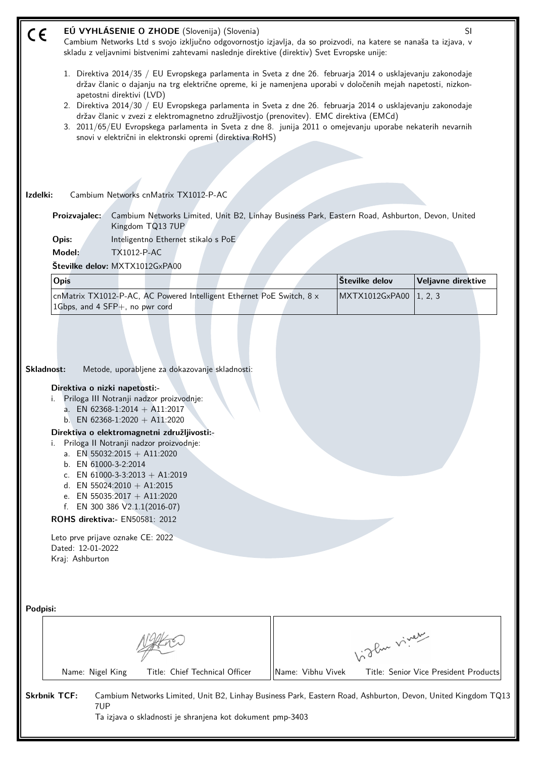| $\epsilon$ | EÚ VYHLÁSENIE O ZHODE (Slovenija) (Slovenia)<br>Cambium Networks Ltd s svojo izključno odgovornostjo izjavlja, da so proizvodi, na katere se nanaša ta izjava, v<br>skladu z veljavnimi bistvenimi zahtevami naslednje direktive (direktiv) Svet Evropske unije:                                                                                                                                                                                                                                                                                                                                                                               |                   |                | SI                                    |
|------------|------------------------------------------------------------------------------------------------------------------------------------------------------------------------------------------------------------------------------------------------------------------------------------------------------------------------------------------------------------------------------------------------------------------------------------------------------------------------------------------------------------------------------------------------------------------------------------------------------------------------------------------------|-------------------|----------------|---------------------------------------|
|            | 1. Direktiva 2014/35 / EU Evropskega parlamenta in Sveta z dne 26. februarja 2014 o usklajevanju zakonodaje<br>držav članic o dajanju na trg električne opreme, ki je namenjena uporabi v določenih mejah napetosti, nizkon-<br>apetostni direktivi (LVD)<br>2. Direktiva 2014/30 / EU Evropskega parlamenta in Sveta z dne 26. februarja 2014 o usklajevanju zakonodaje<br>držav članic v zvezi z elektromagnetno združljivostjo (prenovitev). EMC direktiva (EMCd)<br>3. 2011/65/EU Evropskega parlamenta in Sveta z dne 8. junija 2011 o omejevanju uporabe nekaterih nevarnih<br>snovi v električni in elektronski opremi (direktiva RoHS) |                   |                |                                       |
|            |                                                                                                                                                                                                                                                                                                                                                                                                                                                                                                                                                                                                                                                |                   |                |                                       |
|            |                                                                                                                                                                                                                                                                                                                                                                                                                                                                                                                                                                                                                                                |                   |                |                                       |
| Izdelki:   | Cambium Networks cnMatrix TX1012-P-AC                                                                                                                                                                                                                                                                                                                                                                                                                                                                                                                                                                                                          |                   |                |                                       |
|            | Cambium Networks Limited, Unit B2, Linhay Business Park, Eastern Road, Ashburton, Devon, United<br>Proizvajalec:<br>Kingdom TQ13 7UP                                                                                                                                                                                                                                                                                                                                                                                                                                                                                                           |                   |                |                                       |
|            | Inteligentno Ethernet stikalo s PoE<br>Opis:                                                                                                                                                                                                                                                                                                                                                                                                                                                                                                                                                                                                   |                   |                |                                       |
|            | Model:<br><b>TX1012-P-AC</b>                                                                                                                                                                                                                                                                                                                                                                                                                                                                                                                                                                                                                   |                   |                |                                       |
|            | Številke delov: MXTX1012GxPA00                                                                                                                                                                                                                                                                                                                                                                                                                                                                                                                                                                                                                 |                   |                |                                       |
|            | Opis                                                                                                                                                                                                                                                                                                                                                                                                                                                                                                                                                                                                                                           |                   | Številke delov | Veljavne direktive                    |
|            | cnMatrix TX1012-P-AC, AC Powered Intelligent Ethernet PoE Switch, 8 x<br>1Gbps, and 4 SFP+, no pwr cord                                                                                                                                                                                                                                                                                                                                                                                                                                                                                                                                        |                   | MXTX1012GxPA00 | 1, 2, 3                               |
|            | Skladnost:<br>Metode, uporabljene za dokazovanje skladnosti:<br>Direktiva o nizki napetosti:-<br>Priloga III Notranji nadzor proizvodnje:<br>i.<br>a. EN 62368-1:2014 + A11:2017<br>b. EN 62368-1:2020 + A11:2020<br>Direktiva o elektromagnetni združljivosti:-<br>Priloga II Notranji nadzor proizvodnje:<br>i.<br>a. EN 55032:2015 + A11:2020<br>b. EN 61000-3-2:2014<br>c. EN 61000-3-3:2013 + A1:2019<br>d. EN 55024:2010 + A1:2015<br>e. EN 55035:2017 + A11:2020<br>EN 300 386 V2.1.1(2016-07)<br>f.<br><b>ROHS direktiva:</b> - EN50581: 2012<br>Leto prve prijave oznake CE: 2022<br>Dated: 12-01-2022<br>Kraj: Ashburton             |                   |                |                                       |
| Podpisi:   |                                                                                                                                                                                                                                                                                                                                                                                                                                                                                                                                                                                                                                                |                   | birler viney   |                                       |
|            | Name: Nigel King<br>Title: Chief Technical Officer                                                                                                                                                                                                                                                                                                                                                                                                                                                                                                                                                                                             | Name: Vibhu Vivek |                | Title: Senior Vice President Products |
|            | <b>Skrbnik TCF:</b><br>Cambium Networks Limited, Unit B2, Linhay Business Park, Eastern Road, Ashburton, Devon, United Kingdom TQ13<br>7UP<br>Ta izjava o skladnosti je shranjena kot dokument pmp-3403                                                                                                                                                                                                                                                                                                                                                                                                                                        |                   |                |                                       |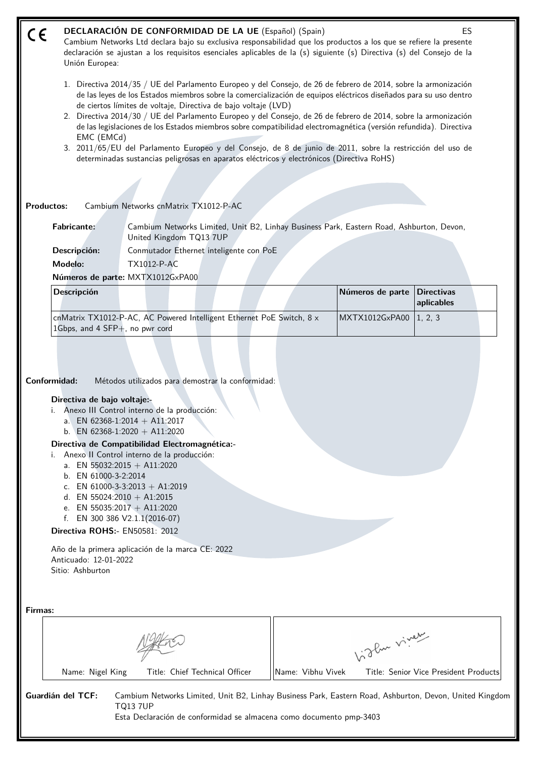# **DECLARACIÓN DE CONFORMIDAD DE LA UE** (Español) (Spain) **ES** ( E Cambium Networks Ltd declara bajo su exclusiva responsabilidad que los productos a los que se refiere la presente declaración se ajustan a los requisitos esenciales aplicables de la (s) siguiente (s) Directiva (s) del Consejo de la Unión Europea: 1. Directiva 2014/35 / UE del Parlamento Europeo y del Consejo, de 26 de febrero de 2014, sobre la armonización de las leyes de los Estados miembros sobre la comercialización de equipos eléctricos diseñados para su uso dentro de ciertos límites de voltaje, Directiva de bajo voltaje (LVD) 2. Directiva 2014/30 / UE del Parlamento Europeo y del Consejo, de 26 de febrero de 2014, sobre la armonización de las legislaciones de los Estados miembros sobre compatibilidad electromagnética (versión refundida). Directiva EMC (EMCd) 3. 2011/65/EU del Parlamento Europeo y del Consejo, de 8 de junio de 2011, sobre la restricción del uso de determinadas sustancias peligrosas en aparatos eléctricos y electrónicos (Directiva RoHS) **Productos:** Cambium Networks cnMatrix TX1012-P-AC **Fabricante:** Cambium Networks Limited, Unit B2, Linhay Business Park, Eastern Road, Ashburton, Devon, United Kingdom TQ13 7UP **Descripción:** Conmutador Ethernet inteligente con PoE **Modelo:** TX1012-P-AC **Números de parte:** MXTX1012GxPA00 **Descripción Números de parte Directivas aplicables** MXTX1012GxPA00 | 1, 2, 3 cnMatrix TX1012-P-AC, AC Powered Intelligent Ethernet PoE Switch, 8 x 1Gbps, and 4 SFP+, no pwr cord **Conformidad:** Métodos utilizados para demostrar la conformidad: **Directiva de bajo voltaje:** i. Anexo III Control interno de la producción: a. EN 62368-1:2014 + A11:2017 b. EN 62368-1:2020 + A11:2020 **Directiva de Compatibilidad Electromagnética:** i. Anexo II Control interno de la producción: a. EN 55032:2015 + A11:2020 b. EN 61000-3-2:2014 c. EN 61000-3-3:2013 + A1:2019 d. EN 55024:2010 + A1:2015 e. EN 55035:2017 + A11:2020 f. EN 300 386 V2.1.1(2016-07) **Directiva ROHS:-** EN50581: 2012 Año de la primera aplicación de la marca CE: 2022 Anticuado: 12-01-2022 Sitio: Ashburton **Firmas:** Vidler viney

Name: Nigel King Title: Chief Technical Officer ||Name: Vibhu Vivek Title: Senior Vice President Products

**Guardián del TCF:** Cambium Networks Limited, Unit B2, Linhay Business Park, Eastern Road, Ashburton, Devon, United Kingdom TQ13 7UP

Esta Declaración de conformidad se almacena como documento pmp-3403